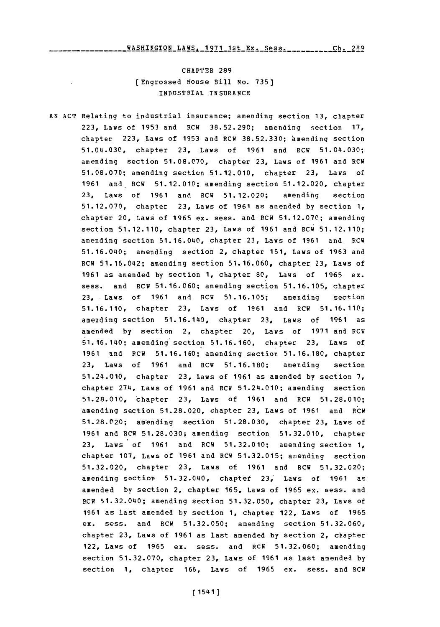CHAPTER **289** (Engrossed House Bill No. **735)** INDUSTRIAL **INSURANCE**

**AN ACT** Relating to industrial insurance; amending section **13,** chapter **223,** Laws of **1953** and RCW **38.52.290;** amending section **17,** chapter **223,** Laws of **1953** and RCW **38.52.330;** hmending section 51.04.030, chapter **23,** Laws of **1961** and RCW 51.04.030; amending section **51.08.070,** chapter **23,** Laws of **1961** and RCW **51.08.070;** amending section **51.12.010,** chapter **23,** Laws of **1961** and. RCW **51.12.010;** amending section **51.12.020,** chapter **23,** Laws of **1961** and RCW **51.12.020;** amending section **51.12.070,** chapter **23,** Laws of **1961** as amended **by** section **1,** chapter 20, Laws of **1965** ex. sess. and RCW **51.12.070;** amending section **51.12.110,** chapter **23,** Laws of **1961** and RCW **51.12.110;** amending section 51.16.040, chapter **23,** Laws of **1961** and RCW 51.16.040; amending section 2, chapter **151,** Laws of **1963** and RCW 51.16.042; amending section **51.16.060,** chapter **23,** Laws of **1961** as amended **by** section **1,** chapter **80,** Laws of **1965** ex. sess. and RCW **51.16.060;** amending section **51.16.105,** chapter **23,** Laws of **1961** and RCW **51.16.105;** amending section **51.16.110,** chapter **23,** Laws of **1961** and RCW **51.16.110;** amending section 51.16.140, chapter 23, Laws of 1961 as amended **by** section 2, chapter 20, Laws of **1971** and RCW 51.16.140; amending section **51.16.160,** chapter **23,** Laws of **1961** and RCW **51.16.160;** amending section **51.16.180,** chapter **23,** Laws of **1961** and RCW **51.16.180;** amending section 51.24.010, chapter **23,** Laws of **1961** as amended **by** section **7,** chapter 274, Laws of **1961** and RCW 51.24.010; amending section **51.28.010,** -chapter **23,** Laws of **1961** and RCW **51.28.010;** amending section **51.28.020,** chapter **23,** Laws of **1961** and RCW **51.28.020;** am'ending section **51.28.030,** chapter **23,** Laws of **1961** and RCW **51.28.030;** amending section **51.32.010,** chapter **23,** Laws of **1961** and RCW **51.32.010;** amending section **1,** chapter **107,** Laws of **1961** and RCW **51.32.015;** amending section **51.32.020,** chapter **23,** Laws of **1961** and RCW **51.32.020;** amending section 51.32.040, chaptet **23,'** Laws of **1961** as amended **by** section 2, chapter **165,** Laws of **1965** ex. sess. and RCW 51.32.040; amending section **51.32.050,** chapter **23,** Laws of **1961** as last amended **by** section **1,** chapter 122, Laws of **1965** ex. sess. and RCW **51.32.050;** amending section **51.32.060,** chapter **23,** Laws of **1961** as last amended **by** section 2, chapter 122, Laws of **1965** ex. sess. and RCW **51.32.060;** amending section **51.32.070,** chapter **23,** Laws of **1961** as last amended **by** section **1,** chapter **166,** Laws of **1965** ex. sess. and RCW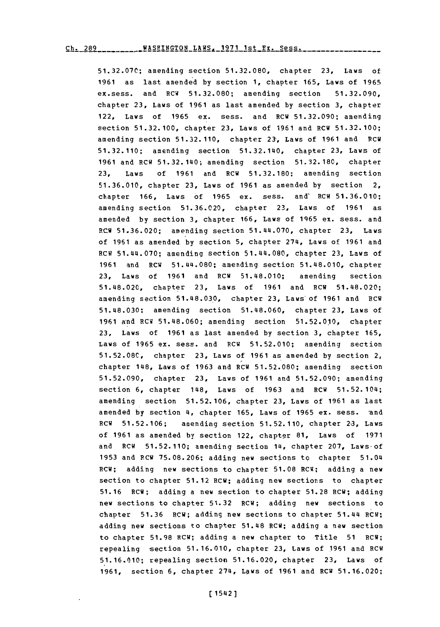**51.32.070;** amending section **51.32.080,** chapter **23,** Laws of **1961** as last amended **by** section **1,** chapter **165,** Laws of **1965** ex.sess. and RCW **51.32.080;** amending section **51.32.090,** chapter **23,** Laws of **1961** as last amended **by** *section* **3,** chapter 122, Laws of **1965** ex. sess. and RCW **51.32.090;** amending section **51.32.100,** chapter **23,** Laws of **1961** and RCW **51.32.100;** amending section 51.32.110, chapter 23, Laws of 1961 and RCW **51.32.110;** amending section 51.32.140, chapter **23,** Laws of **1961** and RCW 51.32.140; amending section **51.32.180,** chapter **23,** Laws of **1961** and RCW **51.32.180;** amending section **51.36.010,** chapter **23,** Laws of **1961** as amended **by** section 2, chapter **166,** Laws **of 1965** ex. sess. and' RCW **51.36.010;** amending section **51.36.020,** chapter **23,** Laws of **1961** as amended **by** section **3,** chapter **166,** Laws of **1965** ex. sess. and RCW **51.36.020;** amending section 51.44.070, chapter **23,** Laws of **1961** as amended **by** section **5,** chapter 274, Laws of **1961** and ROW 51.44.070; amending section 51.44.080, chapter **23,** Laws of **1961** and RCW 51.44.080; amending section 51.48.010, chapter **23,** Laws of **1961** and RCW 51.48.010; amending section 51.48.020, chapter **23,** Laws of **1961** and ROW 51.48.020; amending section **51.48.03.0,** chapter **23,** Laws of **1961** and RCW **51.48.030;** amending section 51.48.060, chapter **23,** Laws of **1961** and ROW **51.48.060;** amending section **51.52.010,** chapter **23,** Laws of **1961** as last amended **by** section **3,** chapter **165,** Laws of **1965** ex. sess. and RCW **51.52.010;** amending section **51.52.080,** chapter **23,** Laws of **1961** as amended **by** section 2, chapter 148, Laws of **1963** and RCW **51.52.080;** amending section **51.52.090,** chapter **23,** Laws of **1961** and **51.52.090;** amending section **6,** chapter 148, Laws of **1963** and RCW 51.52.104; amending section **51.52.106,** chapter **23,** Laws of **1961** as last amended by section 4, chapter 165, Laws of 1965 ex. sess. and RCW **51.52.106;** amending section **51.52.110,** chapter **2.3,** Laws of **1961** as amended **by** section 122, chapter **81,** Laws of **1971** and RCW **51.52.110;** amending section 14, chapter **207,** Laws-of **1953** and ROW **75.08.206;** adding new sections to chapter 51.04 RCW; adding new sections to chapter **51.08** RCW; adding a new section to chapter **51.12** RCW; adding new sections to chapter **51.16** RCW; adding a new section to chapter **51.28** ROW; adding new sections to chapter **51.32** RCW; adding new sections to chapter **51.36** ROW; adding new sections to chapter 51.44 RCW; adding new sections to chapter 51.48 RCW; adding a new section to chapter **51.98** RC1W; adding a new chapter to Title **51** RCW; repealing -section **51.16.010,** chapter **23,** Laws of **1961** and ROW **51.16.010;** repealing section **51.16.020,** chapter **23,** Laws of **1961,** section **6,** chapter 274, Lows of **1961** and RCW **51.16.020;**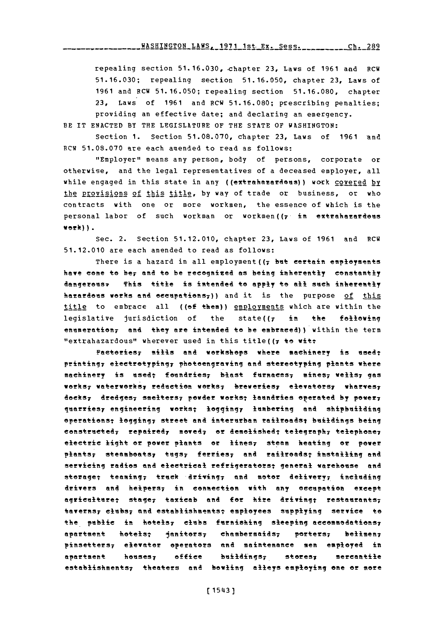repealing section 51.16.030, -chapter **23,** Laws of **1961** anid RCW **51.16.030;** repealing section **51.16.050,** chapter **23,** Laws of **1961** and RCW **51.16.050;** repealing section **51.16.080,** chapter **23,** Laws of **1961** and RCW **51.16.080;** prescribing penalties; providing an effective date; and declaring an emergency.

BE IT **ENACTED** BY **THE LEGISLATURE** OF THE **STATE** OF WASHINGTON:

section **1.** Section **51.08.070,** chapter **23,** Laws of **1961** and PCW **51.08.070** are each amended to read as follows:

"Employer" means any person, body of persons, corporate or otherwise, and the legal representatives of a deceased employer, all while engaged in this state in any ((extrahazardeus)) work covered by the provisions of this title, by way of trade or business, or who contracts with one or more workmen, the essence of which is the personal labor of such workman or workmen( $\tau$  in extrahazardous **work)).**

sec. 2. Section **51.12.010,** chapter **23,** Laws of **1961** and RCW **51.12.010** are each amended to read as follows:

There is a hazard in all employment ((7 but certain employments have come to be, and to be recognized as being inherently constantly dengerus, This title is intended to **apply** to **all** such inherently hazardous works and eecupations<sub>7</sub>)) and it is the purpose of this title to embrace all ((of them)) employments which are within the legislative jurisdiction of the state( $(r + in + the$  following enumeration<sub>7</sub> and they are intended to be embraced)) within the term "extrahazardous" wherever used in this title( $(r + \theta)$  wit:

Factories; mills and workshops where machinery is used; printing; electrotyping; photoengraving and stereotyping plants where machinery is used; foundries<sub>7</sub> blast furnaces<sub>7</sub> mines<sub>7</sub> wells<sub>7</sub> gas works; waterworks; reduction works; breweries; elevators; wharves; **dOekS7** dredges; sselters7 powder workt laundries oereaed **by** power; quarriesy engineering works; loggingy lumbering and shipbuilding operations; logging; street and interurban railroads; buildings being constructed, repaired, moved, or demolished; telegraph, telephone, electric light or power plnts or lifteS7 steam heating **or** power plants; steamboats; tugs; ferries; and railroads; installing and servicing radios and electrical refrigerators; general warehouse and sterage; teaming; truck driving; and motor delivery; including drivers and helpers; in connection with any occupation except agriculture: stage, taxicab and for hire driving: restaurants, taverns; clubs; and establishments; employees supplying service to the public in hotels; clubs furnishing sleeping accommodations; apartment hotels; janitors; chambermaids; porters; belimen; pinsetters; elevator operators and maintenance men employed in apartment houses, office buildings, stores, mercantile establishments; theaters and bowling alleys employing one or more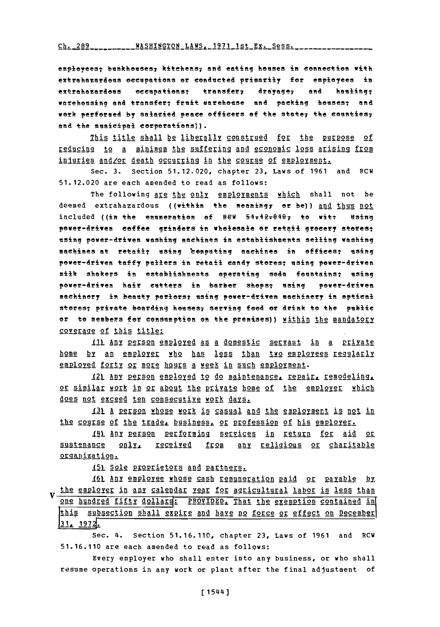employeest bankheses7 kitehens; and eating hoeses **in** connection **with** extrahazardees eccepations er conducted primarily for employees in extrahazardous occupations; transfer, drayage, and hauling; warehousing and transfer; fruit warehouse and packing houses; and work perfersed **by** salatied peace officers **of** the state7 the eeunties; and the municipal corporations)).

This title shall be liberally construed for the purpose of reducing to **a** minimum the suffering and economic loss arising from injuries and/or death occurring in the course of employment.

Sec. **3.** Section **51.12.020,** chapter **23,** Laws of **1961** and RCW **51.12.020** are each amended to read as follows:

The following are the only employments which shall not be deemed extrahazardous ((within the meaning, or be)) and thus not included ((in the enumeration **of** ReW 54742r9497 **to** Witt **using** power-driven eoffee grinders in wholesale or retail greeery sterest using power-driven washing machines in establishments selling washing machines at retail; using 'computing machines in offices; using power-driven taffy pullers in retail candy stores; using power-driven milk shakers in establishments operating **sdea** feentainsi using power-driven hair cutters in barber shops; using power-driven machinery in beauty parlors; using power-driven machinery in optical stores; private boarding houses; serving food or drink to the public or **to** members for eonsumption **on** the premises)) within the mandatory coverage **of** this title:

111 Any person employed as a domestic servant in a private home by an employer who has less than two employees reqularly employed forty or more hours a week in such employment.

121 Any person employed to do maintenance, repair, remodeling, or similar work in or about the private home of the employer which does not exceed ten consecutive work days.

J31 A person whose work is casual and the employment is not in the course of the trade, business, or profession of his employer.

141 Any person performing services in return for aid or sustenance **onlyL** received from any religious or charitable orgAnization.

151 Sole proprietors and partners.

161 Any employee whose cash remuneration paid or payable by the emplorer in any calendar year for agricultural labor is less than one hundred fifty dollars: PROVIDED, That the exemption contained in thig ubsecion shall expire and have no force or effect on December 31, 1972.

Sec. 4. Section **51.16.110,** chapter **23,** Laws of **1961** and RCH **51.16.110** are each amended to read as follows:

Every employer who shall enter into any business, or who shall resume operations in any work or plant after the final adjustment of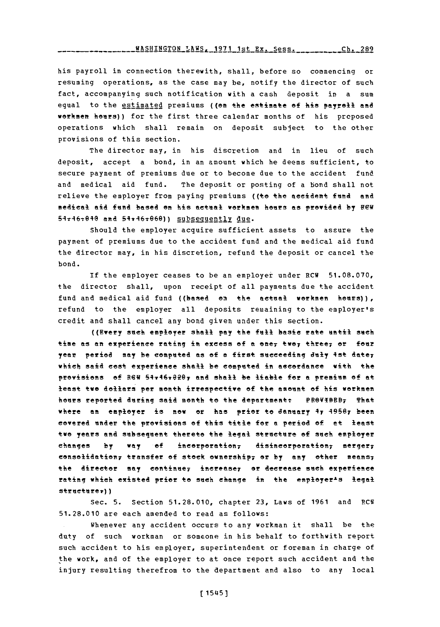<u>1ASHINGTON LAWS, 1971 1st Ex. Sess. . . . . . . . . . 289</u>

his payroll in connection therewith, shall, before so commencing or resuming operations, as the case may be, notify the director of such fact, accompanying such notification with a cash deposit in a sum equal to the estimated premiums ((on the estimate of his payroll and workmen hours)) for the first three calendar months of his proposed operations which shall remain on deposit subject to the other provisions of this section.

The director may, in his discretion and in lieu of such deposit, accept a bond, in an amount which he deems sufficient, to secure payment of premiums due or to become due to the accident fund and medical aid fund. The deposit or posting of a bond shall not relieve the employer from paying premiums ((te **the** accident find and medical aid fend based em his actual workmen heirs as provided **by FEW**  $54 - 46 - 040$  and  $54 - 46 - 060$ ) subsequently due.

Should the employer acquire sufficient assets to assure the payment of premiums due to the accident fund and the medical aid fund the director may, in his discretion, refund the deposit or cancel the bond.

**If** the employer ceases to be an employer under RCW **51.08.070,** the director shall, upon receipt of all payments due the accident fund and medical aid fund ((based on the actual workmen hours)), refund to the employer all deposits remaining to the employer's credit and shall cancel any bond given under this section.

((Every such employer shall **pay** the fell basic rate until such time as an experience rating in excess of a one<sub>r</sub> two, three, or four year period may be eompeted as **of a** first succeeding July 4st datey which said cost experience shall be computed in ascordance with the provisions of 86GI **54v46ve?@7 aft& shall be liable for a** premium of at least **'ewe** dollars per month irrespective ef the amount **of** his workmen hours reported during said month to the department: PROVIBEB, That where an employer **is** mow or has prer to Jamuary **47 49567 been** covered under the provisions of this title for a period ef at least two years and subsequent thereto the legal structure **of** such employer changes by way of incorporation, disincorporation, merger, consolidatien; transfer **of** stock ownership; or **by** amy ether means7 the director may continue, increase, or decrease such experience rating which existed prior to such change in the employer<sup>1</sup>s legal **strueturer) )**

**Sec. 5.** Section **51.28.010,** chapter **23,** Laws of **1961** and RC5 **51.28.010** are each amended to read as follows:

Whenever any accident occurs to any workman it shall be the duty **of** such **workman or someone in** his behalf **to** forthwith report such accident to his employer, superintendent or foreman in charge of the work, and of the employer to at once report such accident and the injury resulting therefrom to the department and also to any local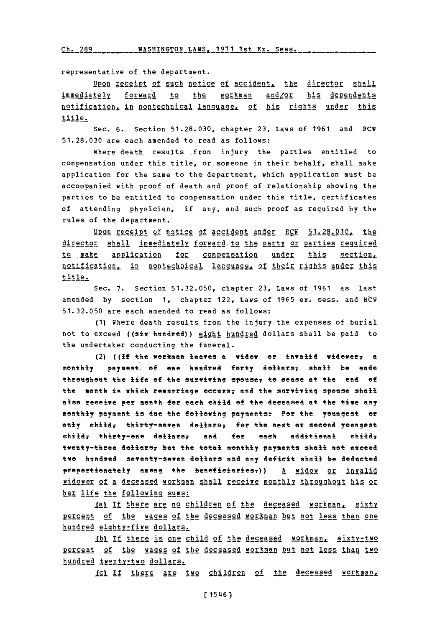**Ch. 289 WASHINGTON LAWS. 1971** 1st **Ex.** Sess.

representative of the department.

Upon receipt of such notice of accident. the director shall immediately forward to the workman and/or his dependents notification, in nontechnical language, of his rights under this title.

Sec. **6.** Section **51.28.030,** chapter **23,** Laws of **1961** and RCW **51.28.030** are each amended to read as follows:

Where death results from injury the parties entitled to compensation under this title, or someone in their behalf, shall make application for the same to the department, which application must be accompanied with proof of death and proof of relationship showing the parties to be entitled to compensation under this title, certificates of attending physician, if any, and suc.h proof as required **by** the rules of the department.

**UP2** receipt of notice of accident under RCW **51.28. 0 1 0 ,** the director shall immediately forward to the party or parties required to make application for compensation under this section, notification, in nontechnical language. of their rights under this title.

Sec. **7.** Section **51.32.050,** chapter **23,** Laws of **1961** as last amended **by** section **1,** chapter 122, Laws of **1965** ex. sess. and RtW **51.32.050** are each amended to read as follows:

**(1)** Where death results from the injury the expenses of burial not to exceed ((six hundred)) eight hundred dollars shall be paid to the undertaker conducting the funeral.

(2) **((if** +he workmne leaves a widow or invalid widevery **a** monthly payment of one hundred forty dollars, shall be made threughest the life of the **SUrviving** spOse? to cease at the end **of** the month in which remarriage occurs; and the surviving spouse shall else receive per month for each child **of** the deceased at the time any monthly payment is due the following payments: Por the youngest or only child<sub>7</sub> thirty-seven dollars<sub>7</sub> for the next or second youngest child, thirty-one dollars, and for each additional child, twenty-three dollars; but the total monthly payments shall not exceed two handred seventy-seven dollars and any deficit shall be deducted proportionately among the beneficiaries.)) A widow or invalid widower of a deceased workman shall receive monthly throughout his or her life the following sums:

Ial If there are no children of the deceased workman, sixty percent of the wages of the deceased workman but not less than one hundred eighty-five dollars.

**IJkI If** there is one child of the deceased workman, sixty-two percent of the wages of the deceased workman but not less than two hundred twenty-two dollars.

IGI If there are two children of the deceased workman.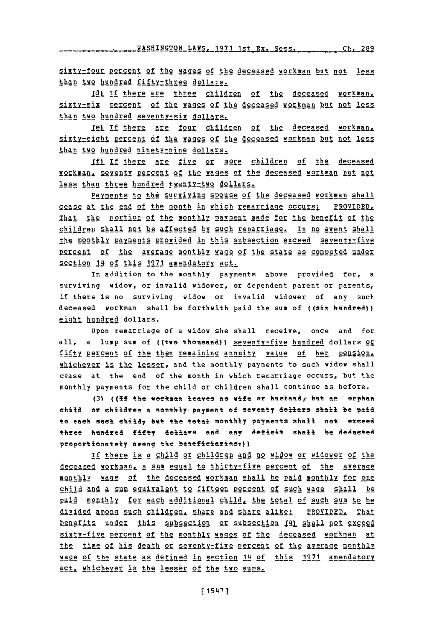. WASHINGTON LAWS\_1971 1st **Ex.** Sess. **Ch.** 289

sixty-four percent of the wages of the deceased workman but not less than two hundred fifty-three dollars.

**Jdt** If there are three children of the deceased workman. sixtrisix percent of the wages of the deceased workman but not less than two hundred seventy-six dollars.

12t **If** there are four children of the deceased workman. sixty-ight pegcen **of the** wages **of** the deceased workman but not less than two hundred ninety-nine dollars.

**If)** If there are five or more children of the deceased workman, seventy percent of the wages of the deceased workman but not less than three hundred twenty-two dollars.

Elyments to the surviving spouse **of** the deceased workman shall cease at the **end of** the month in which remarriage occurs: PROVIDED That the portion of the monthly payment made for the benefit of the children shall not be affected by such remarriage. In no event shall the monthly payments provided in this subsection exceed seventy-five percent of the average monthly wage of the state as computed under section 14 of this 1971 amendatory act.

In addition to the monthly payments above provided for, a surviving widow, or invalid widower, or dependent parent or parents, if there is no surviving widow or invalid widower of any such deceased workman shall be forthwith paid the sum of ((six hundred)) eight hundred dollars.

Upon remarriage of a widow she shall receive, once and for all, a lump sum of ((two thousand)) seventy-five hundred dollars or fifty ptecet of the then remaining annuity value of her **pegsion** whichever is the lesser, and the monthly payments to such widow shall cease at the end of the month in which remarriage occurs, but the monthly payments for the child or children shall continue as before.

**(3) ((If** +he verkman leaves no wife of husband,- but an erphan child or children a monthly payment of seventy dollars shall be paid to eaeh sueh ehi1&d but the tetal monthly payments shall not eteeed three hundred fifty dellers and any defieit shall be dedueted propertionately among the beneficiaries-))

If there is a child or children and no widow or widower of the deceased workman, a sum egual to thirty-fiye percent of the average monthly wage **of** the deceased workman shall be paid monthly for one child and a sum eguivalent to fifteen percent of such wage shall be paid monthly **for eAgh** additional child, the total of such sum to be divided among **gch** children share and share alike: PROVIDEDz That benefits under this subsection or subsection (J4 shall not exceed sixty-five percent of the monthly wages of the deceased workman at the time of his death or seventyrfive percent of the average monthly **XAge** of the state as defined in section 14 of this **1971** amendatory act. whichever is the lesser of the two sums.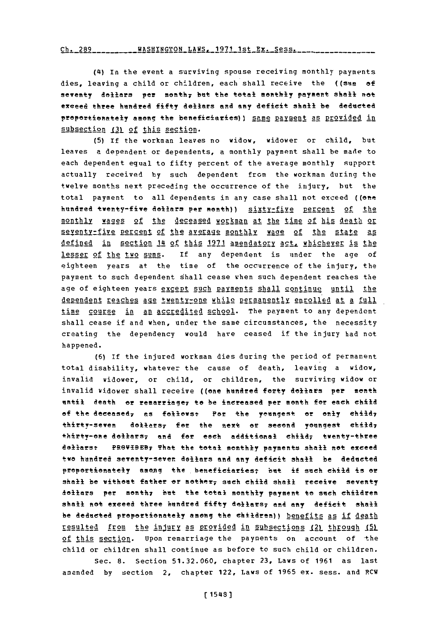Ch. 289 WASHINGTON LAWS, 1971 1st Ex. Sess.

(4) In the event a surviving spouse receiving monthly payments dies, leaving a child or children, each shall receive the **((sam of** seventy dollars per month, but the total monthly payment shall not exceed three hundred fifty dellers **and** any deficit shall be dedusted proportionately among the beneficiaries) } same payment as provided in subsection (3) of this section.

**(5)** If the workman leaves no widow, widower or child, but leaves a dependent or dependents, a monthly payment shall be made to each dependent equal to fifty percent of the average monthly support actually received **by** such dependent from the workman during the twelve months next preceding the occurrence of the injury, but the total payment to all dependents in any case shall not exceed ((one hundred twenty-five dollars per month)) sixty-five percent of the monthly wages of the deceased workman at the time of his death or seventy-five percent of the average monthly wage of the state as defined in section 14 of this **1971** amendatory a2ct whichever is the lesser of the two sums. If any dependent is under the age of eighteen years at the time of the occurrence of the injury, the payment to such dependent shall cease when such dependent reaches the age of eighteen years except such payments shall continue until the dependent reaches age twenty-one while permanently enrolled at a full time course in an accredited school. The payment to any dependent shall cease if and when, under the same circumstances, the necessity creating the dependency would have ceased if the injury had not happened.

**(6)** If the injured workman dies during the period of permanent total disability, whatever the cause of death, leaving a widow, invalid widower, or child, or children, the surviving widow or invalid widower shall receive ((ene hendred forty dellars per menth entil death er remarriage7 to be increased per month for each child of the deceased<sub>7</sub> as follews: Por the yeungest or only child<sub>7</sub> thirty-seven dollers; for the next or seeend youngest **ehild7** thirty-one dollars; and for each additional child; twenty-three dellars: PROVIBEB; That the total monthly payments shall not exceed two hundred seventy-seven dellars **and** any deficit shall be dedected proportionately among the beneficiaries; but if such child is or shall be without father or mother, such child shall receive seventy dollars per month, hut the total monthly payment to such children shall not exceed three hundred fifty dollars; and any deficit shall be deducted proportionately among the children)) benefits as if death resulted from the injury as provided in subsections (2) through (5) of this section. Upon remarriage the payments on account of the child or children shall continue as before to such child or children. Sec. **8.** Section **51.32.060,** chapter **23,** Laws of **1961** as last

amended **by** section 2, chapter 122, Laws of **1965** ex. sess. and RCW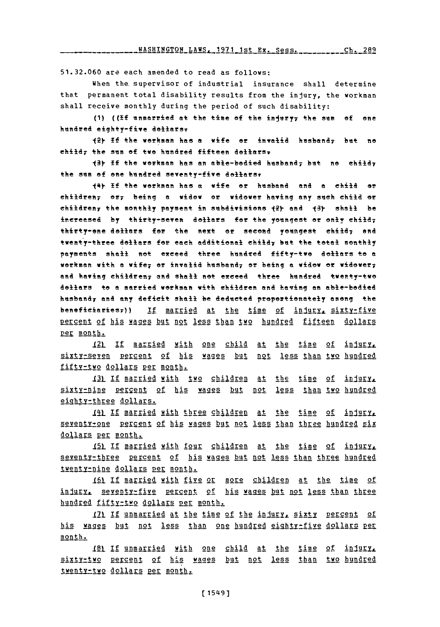**Lt 1st Ex.** . es **C-- h.** 289 WASHINGTON AN 1 1

**51.32.060** are each amended to read as follows:

When the supervisor of industrial insurance shall determine that permanent total disability results from the injury, the workman shall receive monthly during the period of such disability:

**(1) ((If** anmarried at the time of the injlry7 the **sum ef** ene hundred eighty-five dellars:

**12y If** the werkman has **a** wife or invalid hasband; but no child; the sum of twe hundred fifteen dellars<sub>v</sub>

**13Y If** the wekman has **an** able-bedied **husban4** but e ehiIdy the sum of one hundred seventy-five dollars.

<sup>144</sup>**If** the werkman has **a** wife or husband and **a** child er ehildree7 ery being **a** widew or widower having any sueh child **or** Childreny the Aonthly payment in subdivisions **)2Y and 13Y** shall be inereased by thirty-seven dollars for the youngest or only child, thirty-one dollars for the next or second youngest child; and twenty-three dollars for each additional child, but the total monthly payments shall net exceed three hundred fifty-two dollars to **a** workman with **a** wife7 or invalid husband7 or being a widew or widewery and having children, and shall not exceed three hundred twenty-two **dellars** to a married workman with children **and** having an able-bodied husbandr and any defleit shall be deducted propertienately among the beneficiaries<sub>7</sub>)) If married at the time of injury, sixty-five percent of his wages but not less than two hundred fifteen dollars per month.

12L **If** MArLied with one child at the time of inigry, sixty-seven percent of his wages but not less-than-two-hundred fifty-two dollars per month.

<u>**I31 If married with two children at the time of in</u></u>** sixty-nine percent of his wages **but** not less than two hundred eighty-three dollars.

141 If married with three children at the time of injary, seventy-one percent of his wages but not less than three hundred six dollars per month.

**15L** If married with four children at the time of injury, seventy-three percent of his wages but not less than three hundred twenty-nine dollars per month.

<u>161 If married with five or more children at the time of</u> 1811;, seenygt1fie **gregnt of** his wages but not less than three hundred fifty-two dollars per month.

**171 If unmarried at the time of the injury, sixty percent of** his wages but not less than one hundred eighty-five dollars per month.

**181 If** unmarried with one child at the time of injury, sixtytwo percent of his waaes but not less than two hundred twenty-two dollars per month.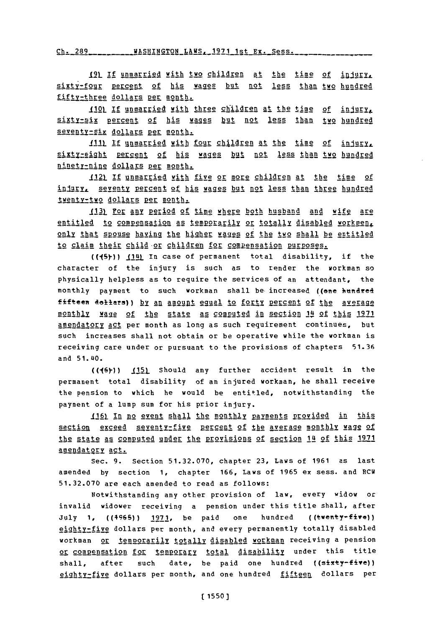12L **If** unmarried with two children at the time **of iajgr!L** sixty-four percent of his wages but not less than two hundred fifty-three dollars per month.

IIQL **If** unmarried with three children at the time of injgur4 sixty-six percent of his wages but not less than two hundred seventy-six dollars per month.

**J.l.1 If** Unmarried with four children at the time of injlur, sixty-eight percent of his wages but not less than two hundred ninety-nine dollars per month.

1121 **If** unmarried with five or more children at the time of indury, seventy percent of his wages but not less than three hundred twenty-two dollars **per** month.

113) For any period of time where both husband and wife are entitled to compensation as temporarily or totally disabled workmen. only that spouse having the higher wages of the two shall be entitled to claim their child or children for compensation purposes.

**((15Y))** 1.1n In case of permanent total disability, if the character of the injury is such as to render the workman so physically helpless as to require the services of an attendant, the monthly payment to such workman shall be increased ((one hundred fifteen dollars)) <u>by an amount equal to forty percent of the average</u> monthly wage of the state as computed in section 14 of this 1971 amendatory act per month as long as such requirement continues, but such increases shall not obtain or be operative while the workman is receiving care under or pursuant to the provisions of chapters **51.36** and 51.40.

((16)) **.J51** Should any further accident result in the permanent total disability of an injured workman, he shall receive the pension to which he would be entitled, notwithstanding the payment of a lump sum for his prior injury.

*I16)* In no event shall the monthly payments provided in this section exceed seventy-five percent of the average monthly wage of the state as computed under the provisions of section 14 of this **171** amendatory act.

Sec. **9.** Section **51.32.070,** chapter **23,** Laws of **1961** as last amended **by** section **1,** chapter **166,** Laws of **1965** ex sess. and RCW **51.32.070** are each amended to read as follows:

Notwithstanding any other provision of law, every widow or invalid widower receiving a pension under this title shall, after **July 1,** ((4965)) 1921, be paid one hundred ((twenty-five)) eighty-five dollars per month, and every permanently totally disabled workman or temporarily totally disabled workman receiving a pension or compensation for temporary total disability under this title shall, after such date, be paid one hundred ((sixty-five)) eighty-five dollars per month, and one hundred fifteen dollars per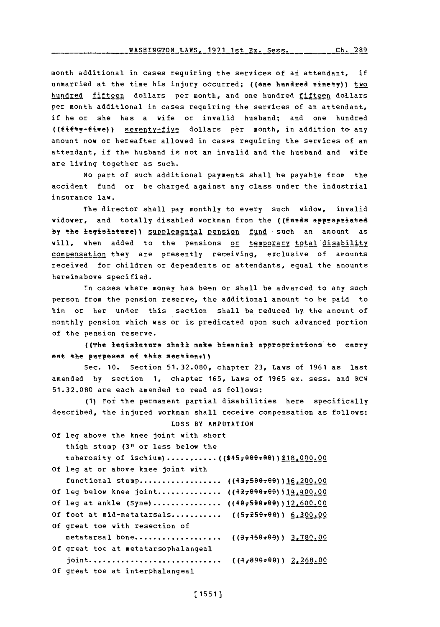month additional in cases requiring the services of an attendant, if unmarried at the time his injury occurred; ((one hundred ninety)) two hundred fifteen dollars per month, and one hundred fifteen dollars per month additional in cases requiring the services of an attendant, if he or she has a wife or invalid husband; and one hundred ((fifty-five)) seventy-five dollars per month, in addition to any amount now or hereafter allowed in cases repquiring the services of an attendant, if the husband is not an invalid and the husband and wife are living together as such.

**No** part of such additional payments shall he payable from~ the accident fund or be charged against any class under the industrial insurance law.

The director shall pay monthly to every such widow, invalid widower, and totally disabled workman from the ((funds appropriated by the legislature)) supplemental pension fund such an amount as will, when added to the pensions or temporary total disability compensation they are presently receiving, exclusive of amounts received for children or dependents or attendants, equal the amounts hereinabove specified.

In cases where money has been or shall be advanced to any such person from the pension reserve, the additional amount to be paid to him or her under this section shall be reduced **by** the amount of monthly pension which was or is predicated upon such advanced portion of the pension reserve.

((The legislature shall make biennial appropriations to carry ent the ptrpeses **of** this seetion?))

Sec. **10.** Section **51.32.080,** chapter **23,** Laws of **1961** as last amended **by** section **1,** chapter **165,** Laws of **1965** ex. sess. and RCW **51.32.080** are each amended to read as follows:

**(1)** For the permanent partial disabilities here specifically described, the injured workman shall receive compensation as follows:

**LOSS** BY **AMPUTATION Of** leg above the knee joint with short thigh stump (3" or less below the tuberosity of **ischium)............. ((\$4579e?.A))\$1g,002.oQ Of leg** at or above knee joint with functional stump................. ( $(43,5900,000)$ Of leg below knee joint.............. ((42,090.00))14,400.00 Of leg at ankle (Syme)............... ((407500r00))12,600.00 **Of** foot at mid-metatarsals............. (( <sup>7</sup> 259e9e)) **6,300.00Q Of** great toe with resection of metatarsal bone................... ((3,450,00)) 3,780.00 **Of** qreat toe at metatarsophalangeal joint **............................... (r 9 9 ) 2,268.00 Of** great toe at interphalangeal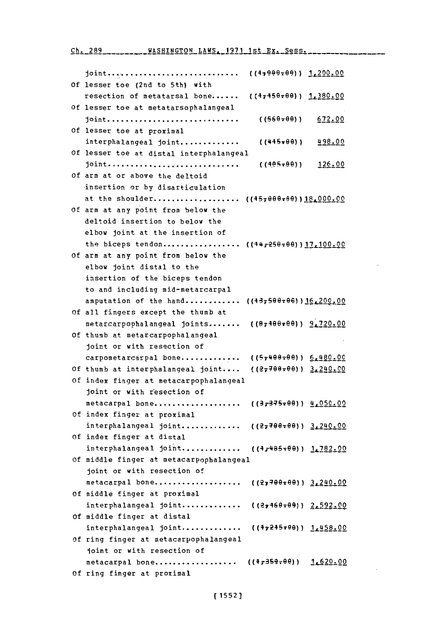**Ch 289** WASHINGTON **LAWS. 1971** 1st Ex. Sess.

| Of lesser toe (2nd to 5th) with                                  |
|------------------------------------------------------------------|
| resection of metatarsal bone ((47450.00) 1,380.00                |
| Of lesser toe at metatarsophalangeal                             |
| joint<br>((560–00))<br>672.00                                    |
| Of lesser toe at proximal                                        |
| interphalangeal joint<br>$(445 \star \theta \theta)$ )<br>498.00 |
| Of lesser toe at distal interphalangeal                          |
| joint<br>( (4.85799) )<br>126.00                                 |
| Of arm at or above the deltoid                                   |
| insertion or by disarticulation                                  |
| at the shoulder ((45 <del>,000.09</del> )) <u>18,000.00</u>      |
| Of arm at any point from below the                               |
| deltoid insertion to below the                                   |
| elbow joint at the insertion of                                  |
| the biceps tendon ((44,250,00))17,100.00                         |
| Of arm at any point from below the                               |
| elbow joint distal to the                                        |
| insertion of the biceps tendon                                   |
| to and including mid-metarcarpal                                 |
| amputation of the hand ((437500.06)) 16.200.00                   |
| Of all fingers except the thumb at                               |
| metarcarpophalangeal joints ((87400+00)) 9.720.00                |
| Of thumb at metarcarpophalangeal                                 |
| joint or with resection of                                       |
| carpometarcarpal bone ((5,400,00)) 6.480.00                      |
| Of thumb at interphalangeal joint $((27700*00))$ $3.240.00$      |
| Of index finger at metacarpophalangeal                           |
| joint or with resection of                                       |
| $(3,375,00)$ $4,050.00$<br>metacarpal bone                       |
| Of index finger at proximal                                      |
| interphalangeal joint ((27700.00)) 3.240.00                      |
| Of index finger at distal                                        |
| interphalangeal joint ((4,485,00)) 1,782.00                      |
| Of middle finger at metacarpophalangeal                          |
| joint or with resection of                                       |
| $( (27700500) )$ $3.240.00$<br>metacarpal bone                   |
| Of middle finger at proximal                                     |
| interphalangeal joint<br>( (27160.09)) 2.592.00                  |
| Of middle finger at distal                                       |
| interphalangeal joint ((47245=00)) 1,458.00                      |
| Of ring finger at metacarpophalangeal                            |
| joint or with resection of                                       |
| $(1,359,00)$ $1,620.00$<br>metacarpal bone                       |
| Of ring finger at proximal                                       |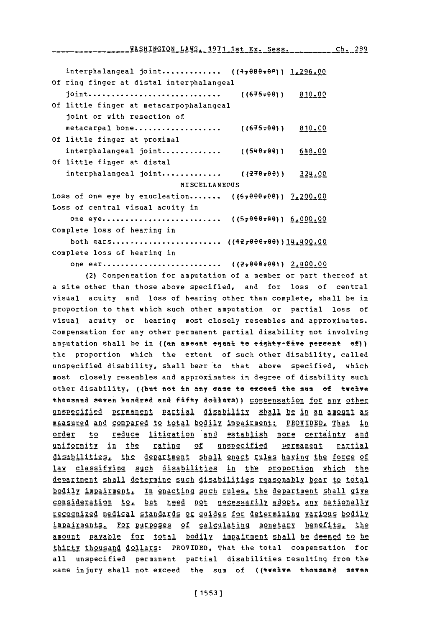interphalangeal joint............. ((4,080-00)) 1,296.00 **Of** ring finger at distal interphalangeal **joint.................................** ((64 99)) 810.00 **Of** little finger at metacarpophalangeal joint or with resection of metacarpal bone.................... ((675-00)) 810.00 **Of** little finger at proximal interphalangeal **joint.............** ((549r9)) 648.00 **Of** little finger at distal interphalangeal joint............. ((270x00)) 324.00 **MISCELLANEOUS** Loss of one eye by enucleation....... ({67000+00}) 7.200.00 Loss of central visual acuity in one eye. **.......................... ((57099799))** 00000 Complete loss of hearing in both **ears........................** ((4,27re799))1440O,00 Complete loss of hearing in

one ear **.......................... ((2v699Eri9)** 2L400.00

(2) Compensation for amputation of a member or part thereof at a site other than those above specified, and for loss of central visual acuity and loss of hearing other than complete, shall be in proportion to that which such other amputation or partial loss of visual acuity or hearing most closely resembles and approximates. Compensation for any other permanent partial disability not involving amputation shall be in ((an ameant equal te eighty-five percent  $ef)$ ) the proportion which the extent of such other disability, called unspecified disability, shall bear to that above specified, which most closely resembles and approximates **in** degree of disability such other disability, ((but not in any ease to exceed the sum of twelve thousand seven hundred and fifty dollars)) compensation for any other unspecified permanent partial disability shall be in an amount as measured and compared to total bodily impairment: PROVIDED, That in order to reduce litigation and establish more certainty and uniformity in the rating of unspecified permanent rartial disabilities. the department shall enact rules having the force of law classifying such disabilities in the proportion which the department shall determine such disabilities reasonably bear to total bodily impairment. In enacting such rules, the department shall give consideration to., but need not necessariy adopt **any** nationally recognized medical standards or quides for determining various bodily impairments. For purposes of calculating monetary benefits. the amount payable for total bodily impairment shall be deemed to be thirty thousand dollars: PROVIDED, That the total compensation for all unspecified permanent partial disabilities resulting from the same injury shall not exceed the sum of ((twelve thousand seven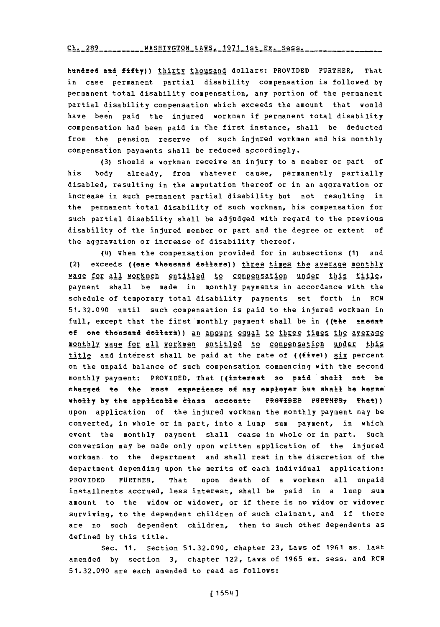**Ch. 289 ----- WASHINGTON LAWS. 1921** 1st **Ex.** Sess.

hundred and fifty)) thirty thousand dollars: PROVIDED FURTHER, That in case **p** ermanent partial disability compensation is followed **by** permanent total disability compensation, any portion of the permanent partial disability compensation which exceeds the amount that would have been paid the injured workman if permanent total disability compensation had been paid in the first instance, shall be deducted from the pension reserve of such injured workman and his monthly compensation payments shall be reduced accordingly.

**(3)** Should a workman receive an injury to a member or part of his body already, from whatever cause, permanently partially disabled, resulting in the amputation thereof or in an aggravation or increase in such permanent partial disability but not resulting in the permanent total disability of such workman, his compensation for such partial disability shall be adjudged with regard to the previous disability of the injured member or part and the degree or extent of the aggravation or increase of disability thereof.

(4) When the compensation provided for in subsections **(1)** and (2) exceeds ((one thousand dollars)) three times the average monthly wage for all workmen entitled to compensation under this title. payment shall be made in monthly payments in accordance with the schedule of temporary total disability payments set forth in RCW **51.32.090** until such compensation is paid to the injured workman in full, except that the first monthly payment shall be in ((the amount of one thousand dollars)) an amount equal to three times the average monthly **IAge2 for All** workmen entitled to comoensation under this title and interest shall be paid at the rate of ((fivel) **six** percent on the unpaid balance of such compensation commencing with the second monthly payment: PROVIDED, That ((interest so paid shall not be charged to the 'cost experience of any employer but shall be borne<sup>'</sup> wholly by the applicable class account: PROVIDEB PURTHER<sub>7</sub> That)) upon application of the injured workman the monthly payment may be converted, in whole or in part, into a lump sum payment, in which event the monthly payment shall cease in whole or in part. Such conversion may be made only upon written application of the injured workman. to the department and shall rest in the discretion of the department depending upon the merits of each individual application: PROVIDED FURTHER, That upon death of a workman all unpaid installments accrued, less interest, shall be paid in a lump sum amount to the widow or widower, or if there is no widow or widower surviving, to the dependent children of such claimant, and if there are no such dependent children, then to such other dependents as defined **by** this title.

Sec. **11.** Section **51.32.090,** chapter **23,** Laws of **1961** as. last amended **by** section **3,** chapter 122, Laws of **1965** ex. sess. and RCW **51.32.090** are each amended to read as follows: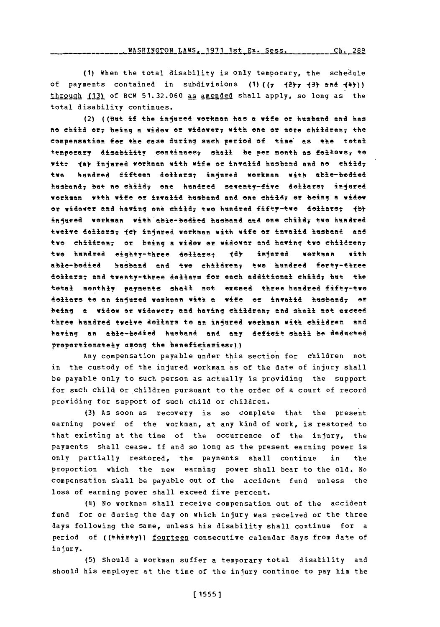**ulcnrurrrnu <sup>t</sup>**xuc **'1071 1~.4. v e,..-..-. ,flfJ\*.L 1UJJL** ~ **I** *\_flJ* IL1~ kz ess *%* **I . L0'7**

**(1)** When the total disability is only temporary, the schedule of payments contained in subdivisions  $(1)$   $((7 + 2)$ <sub>7</sub>  $(3)$  and  $(4)$ ) through (13) of RCW 51.32.060 as amended shall apply, so long as the total disability continues.

(2) ((But if the injured workmen has a wife **or** husband **and** has no child or; being **a widow** or widower 7 with one or mere children; the compensation for the case during such period of time' as the total temporary disability continues; shall be per month as follows; to witt **(a)** Injured workman with wife or invalid husband and no child; two hundred fifteen dollars; injured workman with able-bodied husband; but no child; one hundred seventy-five dallars; injured workman with wife **or** invalid husband end one child;7 or being **a** widow or widower **end** having **one** child; two hundred fifty-two doallersT **tb)** injured workman with able-bodied husband and one child<sub>7</sub> two hundred twelve dollars; (c) injured workman with wife or invalid husband and two chi<del>ldren;</del> or being a widow or widower and having two children; two hundred eighty-three do<del>llars; (d) injured workman with</del> able-bodied husband and two children; two hundred forty-three dollars; and twenty-three dollars for each additional child; but the total monthly payments shall not exceed three hundred fifty-two dollars **to** ent injured workman with **a** wife **of** invalid husband; or beingl **a** widow **or,** widower; **and** having children; **and** shall **not** exceed three hundred twelve dollars to **an** injured workman with children and having an able-bodied husband **and** any deficit shall be deducted proportionately among the beneficiaries.))

Any compensation payable under this section for children not in the custody of the injured workman as of the date of injury shall be payable only to such person as actually is providing the support for such child or children pursuant to the order of a court of record providing for support of such child or children.

(3) As soon as recovery is so complete that the present earning povet of the workman, at any kind of work, is restored to that existing at the time of the occurrence of the injury, the payments shall cease., **If** and so long as the present earning power is only partially restored, the payments shall continue in the proportion which the new earning power shall bear to the old. No compensation shall be payable out of the accident fund unless the loss of earning power shall exceed five percent.

**(4I)** No workman shall receive compensation out of the accident fund for or during the day on which injury was received or the three days following the same, unless his disability shall continue for a period of ((thirty)) fourteen consecutive calendar days from date of injury.

**(5)** Should a workman suffer a temporary total disability and should his employer at the time of the injury continue to pay him the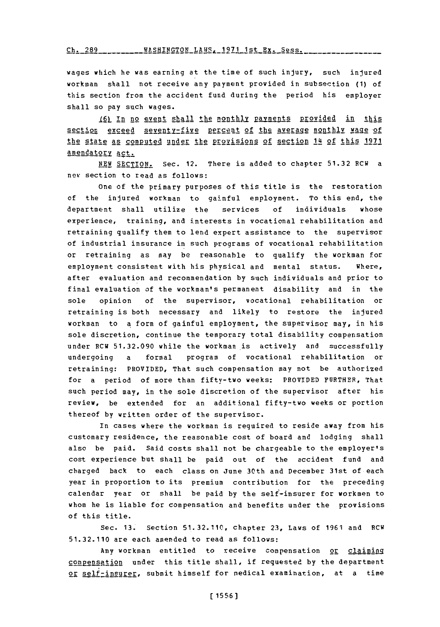Ch~~~~~ **1-7 1s E- -8 -aH~nO -AS -S-- -- Ch-** 9Rq **WASHTNaTON** LAWS- **1971** 1st **Ey-** Spss.

wages which he was earning at the time of such injury, such injured workman shall not receive any payment provided in subsection **(1)** of this section from the accident fund during the period his employer shall so pay such wages.

**16) In no event shall the monthly payments provided in this** section exceed seventy-five percent of the average monthly wage of the state as computed under the provisions of section 14 of this 1971 amendatory act.

**NEW SECTION.** Sec. 12. There is added to chapter **51.32** RCW a new section to read as follows:

one of the primary purposes of this title is the restoration of the injured workman to gainful employment. To this end, the department shall utilize the services **of** individuals whose experience, training, and interests in vocational rehabilitation and retraining qualify them to lend expert assistance to the supervisor of industrial insurance in such programs of vocational rehabilitation or retraining as may be reasonable to qualify the workman for employment consistent with his physical and mental status. Where, after evaluation and recommendation **by** such individuals and prior to final evaluation of the workman's permanent disability and in the sole opinion of the supervisor, vocational rehabilitation or retraining is both necessary and likely to restore the injured workman to a form of gainful employment, the supervisor may, in his sole discretion, continue the temporary total disability compensation under RCW **51.32.090** while the workman is actively and successfully undergoing a formal program of vocational rehabilitation or retraining: PROVIDED, That such compensation may not be authorized for a period of more than fifty-two weeks: PROVIDED FURTHER, That such period may, in the sole discretion of the supervisor after his review, be extended for an additional fifty-two weeks or portion thereof **by** written order of the supervisor.

In cases where the workman is required to reside away from his customary residence, the reasonable cost of board and lodging shall also be paid. said costs shall not be chargeable to the employer's cost experience but shall be paid out of the accident fund and charged back to each class on June 30th and December 31st of each year in proportion to its premium contribution for the preceding calendar year or shall be paid **by** the self-insurer for workmen to whom he is liable for compensation and benefits under the provisions of this title.

Sec. **13.** Section **51.32.110,** chapter **23,** Laws of **1961** and RCW **51.32.110** are each amended to read as follows:

Any workman entitled to receive compensation or claiming compensation under this title shall, if requested by the department or self-insurer, submit himself for nedical examination, at a time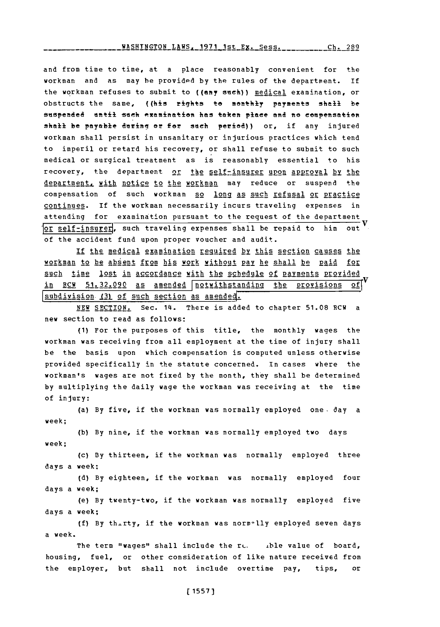and from time to time, at a place reasonably convenient for the workman and as may be provided by the rules of the department. If the workman refuses to submit to ((any such)) medical examination, or obstructs the same, ((his rights to monthly payments shall be suspended until such examination has taken place and no compensation shall be payable during or for such period)) or, if any injured workman shall persist in unsanitary or injurious practices which tend to imperil or retard his recovery, or shall refuse to submit to such medical or surgical treatment as is reasonably essential to his recovery, the department or the self-insurer upon approyal by the department, with notice to the workman may reduce or suspend the compensation of such workman so long as such refusal or practice continues. If the workman necessarily incurs traveling expenses in attending for examination pursuant to the request of the department ]or self-i nsuregj, such traveling expenses shall be repaid to him out of the accident fund upon proper voucher and audit.

If the medical examination required by this section causes the workman to be absent from his work without Pav he shall be paid for such time lost in accordance with the schedule of payments provided in RCW 51.32.090 as amended notwithstanding the provisions of∣ subdivision (3) of such section as amended.

**NEW SECTION.** Sec. 14. There is added to chapter 51.08 RCW a new section to read as follows:

**(1)** For the purposes of this title, the monthly wages the workman was receiving from all employment at the time of injury shall **be** the basis upon which compensation is computed unless otherwise provided specifically in the statute concerned. in cases where the workman's wages are not fixed **by** the month, they shall be determined **by** multiplying the daily wage the workman was receiving at the time of injury:

(a) **By** five, if the workman was normally employed one. day a week;

**(b) By** nine, if the workman was normally employed two days week;

(c) **By** thirteen, if the workman was normally employed three days a week;

**(d) By** eighteen, if the workman was normally employed four days a week;

(e) **By** twenty-two, if the workman was normally employed five days a week;

**(f) By** th-rty, if the workman was norm-'lly employed seven days a week.

The term "wages" shall include the  $r_{c}$ . Alle value of board, housing, fuel, or other consideration of like nature received from the employer, but shall not include overtime pay, tips, or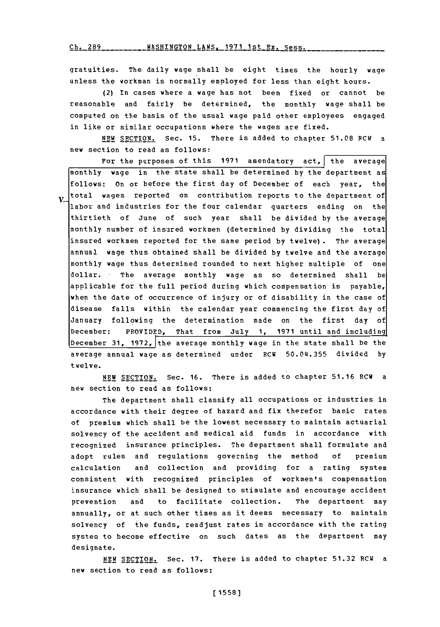**Ch. 289 WASHINGTON** LAWS. **1971** 1st Ex. Sess.

gratuities. The daily wage shall be eight times the hourly wage unless the workman is normally employed for less than eight hours.

(2) In cases where a wage has not been fixed or cannot be reasonable and fairly be determined, the monthly wage shall be computed on the basis of the usual wage paid other employees engaged in like or similar occupations where the wages are fixed.

**NEW** SECTION. Sec. **15.** There is added to chapter **51.08** RCW a new section to read as follows:

For the purposes of this 1971 amendatory act, the average monthly wage in the state shall be determined **by** the department as follows: on or before the first day **of** December of each year, the total wages reported on contribution reports to the department of  $\mathbf{V}$ labor and industries for the four calendar quarters ending on the thirtieth of June of such year shall be divided **by** the average monthly number of insured workmen (determined **by** dividing the total insured workmen reported for the same period **by** twelve) . The average annual wage thus obtained shall be divided **by** twelve and the average monthly wage thus determined rounded to next higher multiple of one dollar. The average monthly wage as so determined shall be applicable for the full period during which compensation is payable, when the date of occurrence of injury or of disability in the case of disease falls within the calendar year commencing the first day of January following the determination made on the first day of December: PROVIDED, That from July **1, 1971** until and including December 31, 1972, the average monthly wage in the state shall be the average annual wage as determined under RCW **50.04.355** divided **by** twelve.

**NEW SECTION.** Sec. **16.** There is added to chapter **51.16** RCW a new section to read as follows:

The department shall classify all occupations or industries in accordance with their degree of hazard and fix therefor basic rates of premium which shall be the lowest necessary to maintain actuarial solvency of the accident and medical aid funds in accordance with recognized insurance principles. The department shall formulate and adopt rules and regulations governing the method **of** premium calculation and collection and providing for a rating system consistent with recognized principles of workmen's compensation insurance which shall be designed to stimulate and encourage accident prevention and to facilitate collection. The department may annually, or at such other times as it deems necessary to maintain solvency of the funds, readjust rates in accordance with the rating **system to become effective on such dates as the department may designate.**

**NEW SECTION. Sec. 17. There is added to chapter 51.32 RCW a** new section to read as follows: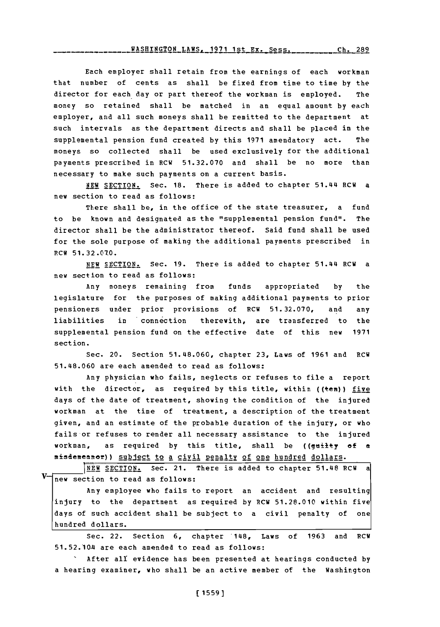WASHINGTON LAWS, 1971 1st Ex. Sess. **Ch- 289**

Each employer shall retain from the earnings of each workman that number of cents as shall be fixed from time to time **by** the director for each day or part thereof the workman is employed. The money so retained shall be matched in an equal amount **by** each employer, and all such moneys shall be remitted to the department at such intervals as the department directs and shall be placed in the supplemental pension fund created **by** this **1971** amendatory act. The moneys so collected shall be used exclusively for the additional payments prescribed in RCW **51.32.070** and shall be no more than necessary to make such payments on a current basis.

**NEW** SECTION. Sec. **18.** There is added to chapter 51.44 RCW a new section to read as follows:

There shall be, in the office of the state treasurer, a fund to be known and designated as the "supplemental pension fund". The director shall be the administrator thereof. Said fund shall be used for the sole purpose of making the additional payments prescribed in RCW **51.32.010.**

**NEW** SECTION. Sec. **19.** There is added to chapter 51.44 RCW a new section to read as follows:

Any moneys remaining from funds appropriated **by** the legislature for the purposes of making additional payments to prior pensioners under prior provisions of PCW **51.32.070,** and any liabilities in connection therewith, are transferred to the supplemental pension fund on the effective date of this new **1971** section.

Sec. 20. Section **51.48.060,** chapter **23,** Laws of **1961** and RCW **51.48.060** are each amended to read as follows:

Any physician who fails, neglects or refuses to file a report with the director, as required by this title, within ((ten)) five days of the date of treatment, showing the condition of the injured workman at the time of treatment, a description of the treatment given, and an estimate of the probable duration of the injury, or who fails or refuses to render all necessary assistance to the injured workman, as required **by** this title, shall be ((guilty **of a** misdemeanor)) subject to a civil penalty of one hundred dollars.

**NEW SECTION.** Sec. 21. There is added to chapter 51.48 RCW a new section to read as follows:

Any employee who fails to report an accident and resulting injury to the department as required **by** RCW **51.28.010** within five days of such accident shall be subject to a civil penalty of one hundred dollars.

Sec. 22. Section **6,** chapter '148, Laws of **1963** and RCW 51.52.10A are each amended to read as follows:

IAfter all evidence has been presented at hearings conducted **by** a hearing examiner, who shall be an active member of the Washington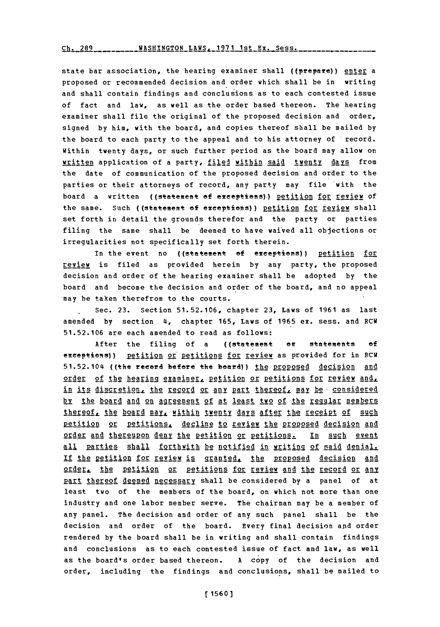Ch. 289 \_\_\_\_\_\_\_\_ WASHINGTON LAWS, 1971 1st Ex. Sess. \_\_\_\_\_

state bar association, the hearing examiner shall ((prepare)) enter a proposed or recommended decision and order which shall be in writing and shall contain findings and conclusions as to each contested issue of fact and law, as well as the order based thereon. The hearing examiner shall file the original of the proposed decision and order, signed **by** him, with the board, and copies thereof shall be mailed **by** the board to each party to the appeal and to his attorney of record. Within twenty days, or such further period as the board may allow on written application of a party, filed within said twenty days from the date of communication of the proposed decision and order to the parties or their attorneys of record, any party may file with the board a written ((statement of exceptions)) petition for review of the same. Such ((statement of exceptions)) petition for review shall set forth in detail the grounds therefor and the party or parties filing the same shall be deemed to have waived all objections or irregularities not specifically set forth therein.

In the event no ((statement of exceptions)) petition for review is filed as provided herein **by** any party, the proposed decision and order of the hearing examiner shall be adopted **by** the board and become the decision and order of the board, and no appeal may he taken therefrom to the courts.

Sec. **23.** Section **51.52.106,** chapter **23,** Laws of **1961** as last amended **by** section 4, chapter **165,** Laws of **1965** ex. sess. and RCW **51.52.106** are each amended to read as follows:

After the filing of a ((statement or statements of exceptions)) petition or petitions for review as provided for in RCW 51.52.104 ((the record before the board)) the proposed decision and order of the hearing examiner, petition or petitions for review and, in its discretion, the record or any part thereof, may be considered by the board and on agreement of at least two of the reqular members thereof, the board may, within twenty days after the receipt of such petition or petitions, decline to review the proposed decision and order and thereupon denv the Petition or petitions. In such event all parties shall forthwith be notified in writing of said denial. If the petition for review is granted, the proposed decision and order. the petition or petitions for review and the record or any part thereof deemed necessary shall be considered by a panel of at least two of the members of the board, on which not more than one industry and one labor member serve. The chairman may be a member of any panel. The decision and order of any such panel shall be the decision and order of the board. Every final decision and order rendered **by** the board shall be in writing and shall contain findings and conclusions as to each contested issue of fact and law, as well as the board's order based thereon. **A** copy of the decision and order, including the findings and conclusions, shall be mailed to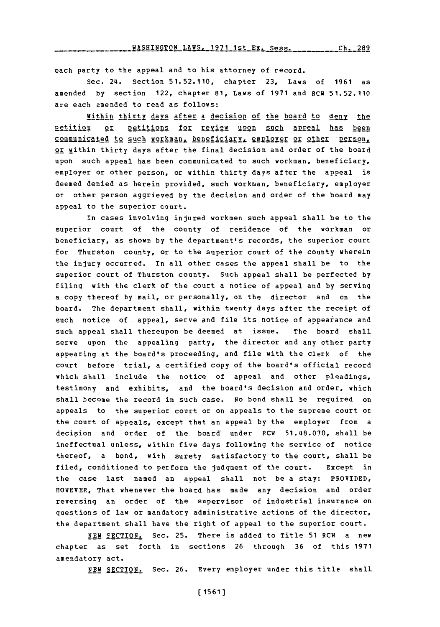each party to the appeal and to his attorney of record.

Sec. 24. Section **51.52.110,** chapter **23,** Laws of **1961** as amended **by** section 122, chapter **81,** Laws of **1971** and RCW **51.52.110** are each amended to read as follows:

Within thirty davs after a decision of the board to deny the petition or petitions for review upon such appeal has been communicated to such workman, beneficiary, employer or other person, or within thirty days after the final decision and order of the board upon such appeal has been communicated to such workman, beneficiary, employer or other person, or within thirty days after the appeal is deemed denied as herein provided, such workman, beneficiary, employer or other person aggrieved **by** the decision and order of the board may appeal to the superior court.

in cases involving injured workmen such appeal shall be to the superior court of the county of residence of the workman or beneficiary, as shown **by** the department's records, the superior court for Thurston county, or to the superior court of the county wherein the injury occurred. In all other cases the appeal shall be to the superior court of Thurston county. Such appeal shall be perfected **by** filing with the clerk of the court a notice of appeal and **by** serving a copy thereof **by** mail, or personally, on the director and on the board. The department shall, within twenty days after the receipt of such notice of appeal, serve and file its notice of appearance and such appeal shall thereupon be deemed at issue. The board shall serve upon the appealing party, the director and any other party appearing at the board's proceeding, and file with the clerk of the court before trial, a certified copy of the board's official record which shall include the notice of appeal and other pleadings, testimony and exhibits, and the board's decision and order, which shall become the record in such case. No bond shall be required on appeals to the superior court or on appeals to the supreme court or the court of appeals, except that an appeal **by** the employer from a decision and order of the board' under RCW 51.48.070, shall be ineffectual unless, within five days following the service of notice thereof, a bond, with surety satisfactory to the court, shall be filed, conditioned to perform the judgment of the court. Except in the case last named an appeal shall not be a stay: PROVIDED, HOWEVER, That whenever the board has made any decision and order reversing an order of the supervisor of industrial insurance on questions of law or mandatory administrative actions of the director, the department shall have the right of appeal to the superior court.

**NEW SECTION.** Sec. **25.** There is added to Title **51** RCW a new chapter as set forth in sections **26** through **36** of this **1971** amendatory act.

NEW **SECTION.** Sec. **26.** Every employer under this title shall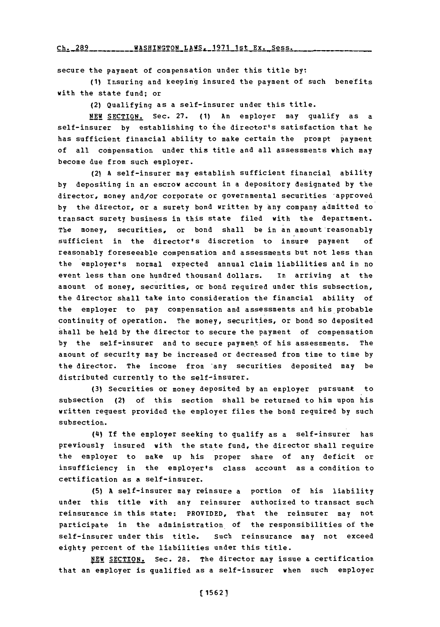**Ch. 289** WASHINGTON **LAWS. 1971** 1st Ex. Sess. \_\_\_\_\_\_

secure the payment of compensation under this title **by:**

(1) Insuring and keeping insured the payment of such benefits with the state fund; or

(2) Qualifying as a self-insurer under this title.

**NEW SECTION.** Sec. **27. (1)** An employer may qualify as a self-insurer **by** establishing to the director's satisfaction that he has sufficient financial ability to make certain the prompt payment of all compensation under this title and all assessments which may become due from such employer.

(2) **<sup>A</sup>**self-insurer may establish sufficient financial. ability **by** depositing in an escrow account in a depository designated **by** the director, money and/or corporate or governmental securities 'approved by the director, or a surety bond written by any company admitted to transact surety business in this state filed with the department. The money, securities, or bond shall be in an amount reasonably sufficient in the director's discretion to insure payment **of** reasonably foreseeable compensation and assessments but not less than the employer's normal expected annual claim liabilities and in no event less than one hundred thousand dollars. In arriving at the amount of money, securities, or bond required under this subsection, the director shall take into consideration the financial ability of the employer to pay compensation and assessments and his probable continuity of operation. The money, securities, or bond so deposited shall be held **by** the director to secure the payment of compensation **by** the self-insurer and to secure payment of his assessments. The amount of security may be increased or decreased from time to time **by** the director. The income from any securities deposited may be distributed currently to the self-insurer.

**(3)** Securities or money deposited **by** an employer pursuant to subsection (2) of this section shall be returned to him upon his written request provided the employer files the bond required **by** such subsection.

(4) **If** the employer seeking to qualify as a self-insurer has previously insured with the state fund, the director shall require the employer to make up his proper share of any deficit or insufficiency in the employer's class account as a condition to certification as a self-insurer.

**(5) A** self-insurer may reinsure a portion of his liability under this title with any reinsurer authorized to transact such reinsurance in this state: PROVIDED, That the reinsurer may not participate in the administration. of the responsibilities of the self-insurer under this title. Such reinsurance may not exceed eighty percent of the liabilities under this title.

**NEW SECTION.** Sec. 28. The director may issue a certification that an employer is qualified as a self-insurer when such employer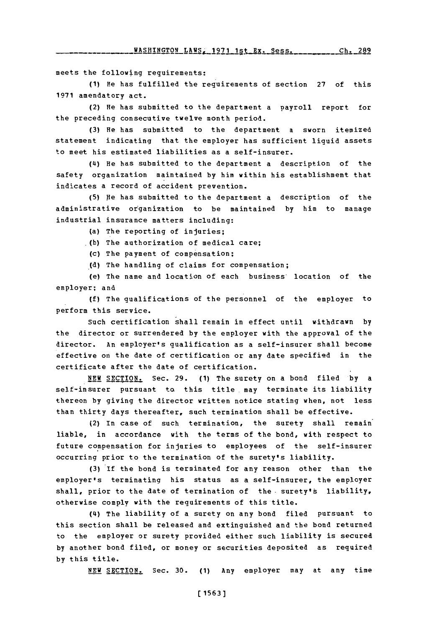meets the following requirements:

**(1)** He has fulfilled the requirements of section **27** of this **1971** amendatory act.

(2) He has submitted to the department a payroll report for the preceding consecutive twelve month period.

**(3)** He has submitted to the department a sworn itemized statement indicating that the employer has sufficient liquid assets to meet his estimated liabilities as a self-insurer.

(4) He has submitted to the department a description of the safety organization maintained **by** him within his establishment that indicates a record of accident prevention.

**(5)** pIe has submitted to the department a description of the administrative organization to be maintained **by** him to manage industrial insurance matters including:

(a) The reporting of injuries;

**A b)** The authorization of medical care;

**(C)** The payment of compensation;

**(d)** The handling of claims for compensation;

(e) The name and location of each business' location of the employer; and

**(f)** The qualifications of the pers onnel of the employer to perform this service.

Such certification shall remain in effect until withdrawn **by** the director or surrendered **by** the employer with the approval of the director. An employer's qualification as a self-insurer shall become effective on the date of certification or any date specified in the certificate after the date of certification.

**NE** SECTION. Sec. **29. (1)** The surety on a bond filed **by** a self-insurer pursuant to. this title. may terminate its liability thereon **by** giving the director written notice stating when, not less than thirty days thereafter, such termination shall be effective.

(2) in case of such termination, the surety shall remain liable, in accordance with the terms of the bond, with respect to future compensation for injuries to employees of the self-insurer occurring prior to the termination of the surety's liability.

**(3) If** the bond is terminated for any reason other than the employer's terminating his status as a self-insurer, the employer shall, prior to the date of termination of the surety's liability, otherwise comply with the requirements of this title.

(4) The liability of a surety on any bond filed pursuant to this section shall be released and extinguished and the bond returned to the employer or surety provided either such liability is secured **by** another bond filed, or money or securities deposited as required **by** this title.

**NEW SECTION.** Sec. **30. (1)** Any employer may at any time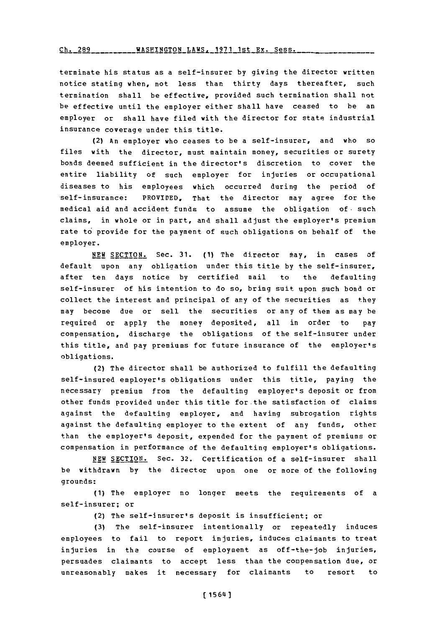terminate his status as a self-insurer **by** giving the director written notice stating when, not less than thirty days thereafter, such termination shall be effective, provided such termination shall not be effective until the employer either shall have ceased to be an employer or shall have filed with the director for state industrial insurance coverage under this title.

(2) An employer who ceases to be a self-insurer, and who so files with the director, must maintain money, securities or surety bonds deemed sufficient in the director's discretion to cover the entire liability of such employer for injuries or occupational diseases to his employees which occurred during the Period of self-insurance: PROVIDED, That the director may agree for the medical aid and accident funds to assume the obligation of. such claims, in whole or in part, and shall adjust the employer's premium rate to provide for the payment of such obligations on behalf of the employer.

**NEW SECTION.** Sec. **31. (1)** The director may, in cases of default upon any obliaation under this title **by** the self-insurer, after ten days notice **by** certified mail to the defaulting self-insurer of his intention to do so, bring suit upon such bond or collect the interest and principal of any of the securities as they may become due or sell the securities or any of them as may be required or apply the money deposited, all in order to pay compensation, discharge the obligations of the self-insurer under this title, and pay premiums for future insurance of the employer's obligations.

(2) The director shall be authorized to fulfill the defaulting self-insured employer's obligations under this title, paying the necessary premium from the defaulting employer's deposit or from other funds provided under this title for the satisfaction of claims against the defaulting employer, and having subrogation rights against the defaulting employer to the extent of any funds, other than the employer's deposit, expended for the payment of premiums or compensation in performance of the defaulting employer's obligations.

**NEW** SECTION. Sec. **32.** certification of a self-insurer shall be withdrawn **by** the director upon one or more of the following grounds:

**(1)** The employer no longer meets the requirements of a self-insurer; or

(2) The self-insurer's deposit is insufficient; or

**(3)** The self-insurer intentionally or repeatedly induces employees to fail to report injuries, induces claimants to treat injuries in the course of employment as off-the-job injuries, persuades claimants to accept less than the compensation due, or unreasonably makes it necessary for claimants to resort to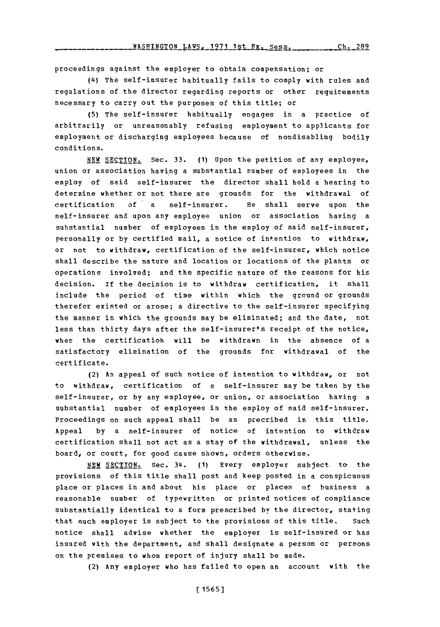proceedings against the employer to obtain compensation; or

**(4i)** The self-insurer habitually fails to comply with rules and regulations of the director regarding reports or other requirements necessary to carry out the purposes of this title; or

**(5)** The self-insurer habitually engages in a practice of arbitrarily or unreasonably refusing employment to applicants for employment or discharging employees because of nondisabling bodily conditions.

**NEW SECTION.** Sec. **33. (1)** Upon the petition of any employee, union or association having a substantial number of employees in the employ of said self-insurer the director shall hold a hearing to determine whether or not there are grounds for the withdrawal of certification of a self-insurer. He shall serve upon the self-insurer and upon any employee union or association having a substantial number of employees in the employ of said self-insurer, personally or **by** certified mail, a notice of intention to withdraw', or not to withdraw, certification of the self-insurer, which notice shall describe the nature and location or locations of the plants or operations involved; and the specific nature of the reasons for his decision. If the decision is to withdraw certification, it shall include the period of time within which the ground or grounds therefor existed or arose; a directive to the self-insurer specifying the manner in which the grounds may be eliminated; and the date, not less than thirty days after the self-insurer's receipt of the notice, when the certificatioh will be withdrawn in the absence of a satisfactory elimination of the grounds for withdrawal of the certificate.

(2) An appeal of such notice of intention to withdraw, or not to withdraw, certification of a self-insurer may be taken **by** the self-insurer, or **by** any employee, or union, or association having a substantial number of employees in the employ of said self-insurer. Proceedings on such appeal shall be as precribed in this title. Appeal **by** a self-insurer of notice of intention to withdraw certification shall not act as a stay of the withdrawal, unless the board, or court, for good cause shown, orders otherwise.

NEW SECTION. Sec. 34. (1) Every employer subject to the provisions of this title shall post and keep posted in a conspicuous place or places in and about his place or places of business a reasonable number of typewritten or printed notices of compliance substantially identical to a form prescribed **by** the director, stating that such employer is subject to the provisions of this title. Such notice shall advise whether the employer is self-insured or has insured with the department, and shall designate a person or persons on the premises to whom report of injury shall be made.

(2) Any employer who has failed to open an account with the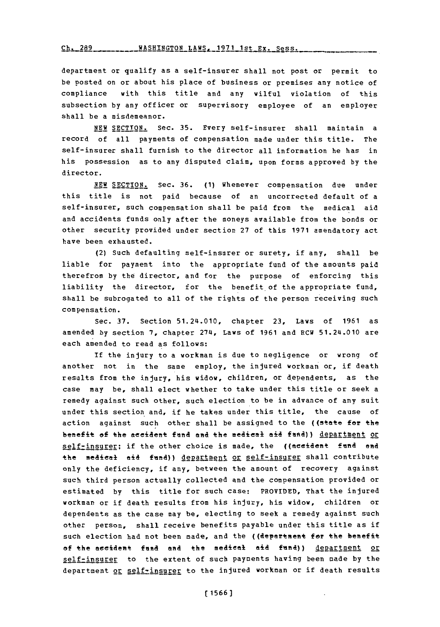Ch. 289 \_\_\_\_\_\_\_\_\_ WASHINGTON\_LAWS. 1971 1st Ex. Sess.

department or qualify as a self-insurer shall not post or permit to be posted on or about his place of business or premises any notice of compliance with this title and any wilful violation of this subsection **by** any officer or supervisory employee of an employer shall be a misdemeanor.

**NEW SECTION.** Sec. **35.** Every self-insurer shall maintain a record of all payments of compensation made under this title. The self-insurer shall furnish to the director all information he has in his possession as to any disputed claim, upon forms approved **by** the director.

**NEW SECTION.** Sec. **36. (1)** Whenever compensation due under this title is not paid because of an uncorrected default of a self-insurer, such compensation shall be paid from the medical aid and accidents funds only after the moneys available from the bonds or other security provided under section **27** of this **1971** amendatory act have been exhausted.

(2) Such defaulting self-insurer or surety, if any, shall be liable for payment into the appropriate fund of the amounts paid therefrom **by** the director, and for the purpose of enforcing this liability the director, for the benefit of the appropriate fund, shall be subrogated to all of the rights of the person receiving such compensation.

Sec. **37.** Section 51.24.010, chapter **23,** Laws of **1961** as amended **by** section **7,** chapter 274, Laws of **1961** and RCW 51.24.010 are each amended to read as follows:

If the injury to a workman is due to negligence or wrong of another not in the same employ, the injured workman or, if death results from the injury, his widow, children, or dependents, as the case may be, shall elect whether to take under this title or seek a remedy against such other, such election to be in advance of any suit under this section and, if he takes under this title, the cause of action against such other shall be assigned to the ((state for the benefit of the accident fund and the medical aid fund)) department or selfrinsurer; if the other choice is made, the ((aesident fund and the medical aid fund)) department or self-insurer shall contribute only the deficiency, if any, between the amount of recovery against such third person actually collected and the compensation provided or estimated **by** this title for such case: PROVIDED, That the injured workman or if death results from his injury, his widow, children or dependents as the case may be, electing to seek a remedy against such other person, shall receive benefits payable under this title as if such election had not been made, and the ((department for the benefit of the accident fund and the medical aid fund)) department or self-insurer to the extent of such payments having been oade **by** the department or self-insurer to the injured workman or if death results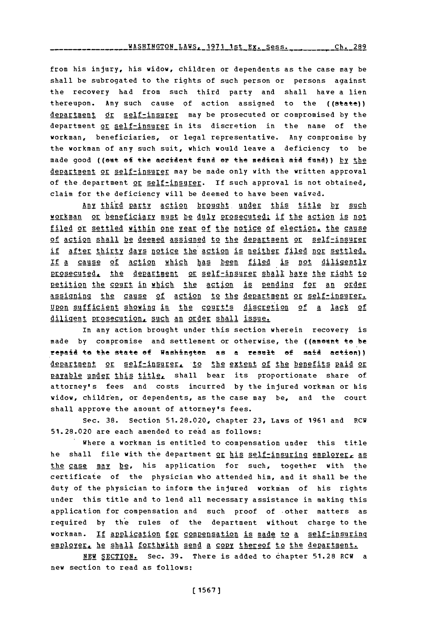from his injury, his widow, children or dependents as the case may be shall be subrogated to the rights of such person or persons against the recovery had from such third party and shall have a lien thereupon. Any such cause of action assigned to the ((state)) department or self-insurer may be prosecuted or compromised by the department or self-insurer in its discretion in the name of the workman, beneficiaries, or legal representative. Any compromise **by** the workman of any such suit, which would leave a deficiency to be made good ((out of the accident fund or the medical aid fund)) by the department or self-insurer may be made only with the written approval of the department or self-insurer. If such approval is not obtained, claim for the deficiency will be deemed to have been waived.

**Any** th' palty action brought. **under:** this title **by suc2h** workman or beneficiary must be duly prosecuted; if the action is not filed or settled within one year **of** the notice of election. the cause of action shall be deemed assigned to the department or self-insurer if after thirty days notice the action is neither filed nor settled. If a cause of action which has been filed is not diligently prosecuted, the department or self-insurer shall have the right to pettion the court in which the action **is2** pending for an order assigning the cause of action to the department or self-insurer. Upon sufficient showing in the court's discretion of a lack of diligent prosecution, such an order shall issue.

In any action brought under this section wherein recovery is made by compromise and settlement or otherwise, the ((amount to be repaid to the state of Washington as a result of said action)) department or self-insurer, to the extent of the benefits paid or payable under this title, shall bear its proportionate share of attorney's fees and costs incurred **by** the injured workman or his widow, children, or dependents, as the case may be, and the court shall approve the amount of attorney's fees.

Sec. **38.** Section **51.28.020,** chapter **23,** Laws of **1961** and RCW **51.28.020** are each amended to read as follows:

where a workman is entitled to compensation under this title he shall file with the department or his self-insuring employer, as the case may be, his application for such, together with the certificate of the physician who attended him, and it shall be the duty of the physician to inform the injured workman of his rights under this title and to lend all necessary assistance in making this application for compensation and such proof of other matters as required **by** the rules of the department without charge to the workman. If application for compensation is made to a self-insuring employer, he shall forthwith send a copy thereof to the department.

**NEW SECTION.** Sec. **39.** There is added to 6hapter **51.28** RCW a new section to read as follows: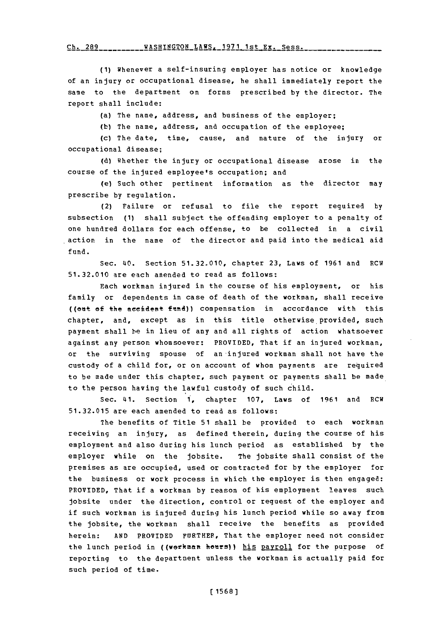Ch. 289\_\_\_\_\_\_\_\_\_\_WASHINGTON\_LAWS, 1971 1st Ex. Sess.

**(1)** Whenever a self-insuring employer has notice or knowledge of an injury or occupational disease, he shall immediately report the same to the department on forms prescribed **by** the director. The report shall include:

(a) The name, address, and business of the employer;

**(b)** The name, address, and occupation of the employee;

(c) The date, time, cause, and nature of the injury or occupational disease;

**(d)** whether the injury or occupational disease arose in the course of the injured employee's occupation; and

(e) Such other pertinent information as the director may prescribe **by** regulation.

(2) Failure or refusal to file the report required **by** subsection **(1)** shall subject the offending employer to a penalty of one hundred dollars for each offense, to be collected in a civil action in the name of the director and paid into the medical aid fund.

Sec. 40. Section **51.32.010,** chapter **23,** Laws of **1961** and RCW **51.32.010** are each amended to read as follows:

Each workman injured in the course of his employment, or his family or dependents in case of death of the workman, shall receive ((ent ef the aecident fidnd)) compensation in accordance with this chapter, and, except as in this title otherwise provided, such payment shall be in lieu of any and all rights of action whatsoever against any person whomsoever: PROVIDED, That if an injured workman, or the surviving spouse of an injured workman shall not have the custody of a child for, or on account of whom payments are required to be made under this chapter, such payment or payments shall be made to the person having the lawful custody of such child.

Sec. 41. Section 1, chapter **107,** Laws of **1961** and RCW **51.32.015** are each amended to read as follows:

The benefits **of** Title **51** shall be provided to each workman receiving an injury, as defined therein, during the course of his employment and also during his lunch period as established **by** the employer while on the jobsite. The jobsite shall consist of the premises as are occupied, used or contracted for **by** the employer for the business or work process in which the employer is then engaged: PROVIDED, That if a workman **by** reason of his employment leaves such jobsite under the direction, control or request of the employer and if such workman is injured during his lunch period while so away from the jobsite, the workman shall receive the benefits as provided herein: **AND** PROVIDED FURTHER, That the employer need not consider the lunch period in ((werkman heurs)) his payroll for the purpose of reporting to the department unless the workman is actually paid for such period of time.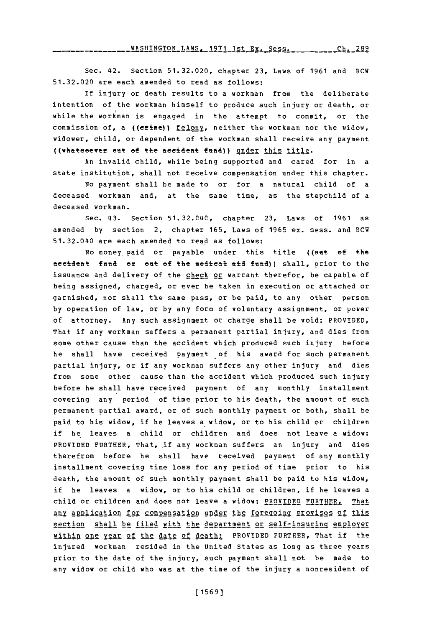-----------<mark>WASHINGTON\_LAWS.\_1971\_1st\_Ex.\_Sess.\_\_\_\_\_\_\_\_\_\_\_Ch.\_289</mark>

Sec. 42. Section **51.32.020,** chapter **23,** Laws of **1961** and RCW **51.32.020** are each amended to read as follows:

If injury or death results to a workman from the deliberate intention of the workman himself to produce such injury or death, or while the workman is engaged in the attempt to commit, or the commission of, a (( $erime$ )) felony, neither the workman nor the widow, widower, child, or dependent of the workman shall receive any payment ((whatseever ent of the accident fund)) under this title.

An invalid child, while being supported and cared for in a state institution, shall not receive compensation under this chapter.

No payment shall be made to or for a natural child of a deceased workman and, at the same time, as the stepchild of a deceased workman.

Sec. 43. Section **51.32.CL40,** chapter **23,** Laws of **1961** as amended **by** section 2, chapter **165,** Laws of **1965** ex. sess. and RCW 51.32.0£40 are each amended to read as follows:

No money paid or payable under this title ((out of the aeeidemt **fend** or ent **of** the medical aid fend)) shall, prior to the issuance and delivery of the check or warrant therefor, be capable of being assigned, charged, or ever be taken in execution or attached or garnished, nor shall the same pass, or be paid, to any other person **by** operation of law, or **by** any form of voluntary assignment, or power of attorney. Any such assignment or charge shall be void: PROVIDED, That if any workman suffers a permanent partial injury, and dies from some other cause than the accident which produced such injury before he shall have received payment of his award for such permanent partial injury, or if any workman suffers any other injury and dies from some other cause than the accident which produced such injury before he shall have received payment of any monthly installment covering any period of time prior to his death, the amount of such permanent partial award, or of such monthly payment or both, shall be paid to his widow, if he leaves a widow, or to his child or children if he leaves a child or children and does not leave a widow: PROVIDED FURTHER, That, if any workman suffers an injury and dies therefrom before he shall have received payment of any monthly installment covering time loss for any period of time prior to his death, the amount of such monthly payment shall be paid to his widow, if he leaves a widow, or to his child or children, if he leaves a child or children and does not leave a widow: PROVIDED FURTHER, That any application for compensation under the foregoing provisos of this section shall be filed with the department or self-insuring employer within one year of the date of death: PROVIDED FURTHER, That if the injured workman resided in the United States as long as three years prior to the date of the injury, such payment shall not be made to any widow or child who was at the time of the injury a nonresident of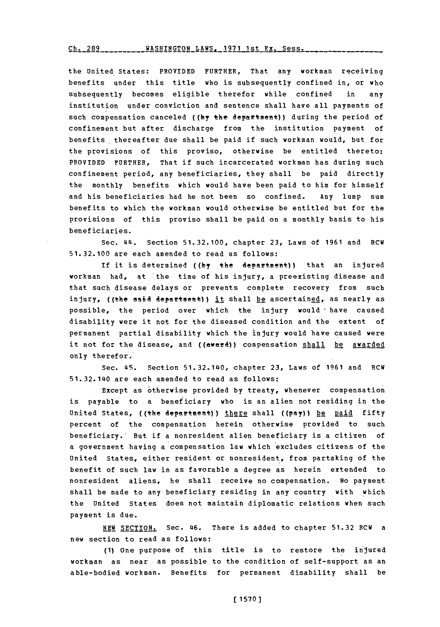## **Ch-- --** 28 **------ON-AS-** 197-1t----ss **Ch. 289 WASHINGTON** LAWS, **1971** ist Ex. Sess.

the United States: PROVIDED FURTHER, That any workman receiving benefits under this title who is subsequently confined in, or who subsequently becomes eligible therefor while confined in any institution under conviction and sentence shall have all payments of such compensation canceled **((by** the department)) during the period of confinement but after discharge from the institution payment of benefits 'thereafter due shall be paid if such workman would, but for the provisions of this proviso, otherwise be entitled thereto: PROVIDED FURTHER, That if such incarcerated workman has during such confinement period, any beneficiaries, they shall be paid directly the monthly benefits which would have been paid to him for himself and his beneficiaries had he not been so confined. Any lump sum benefits to which the workman would otherwise be entitled but for the provisions of this proviso shall be paid on a monthly basis to his beneficiaries.

Sec. **414.** Section **51.32.100,** chapter **23,** Laws of **1961** and RCU **51.32.100** are each amended to read as follows:

If it is determined ((by the department)) that an injured workman had, at the time of his injury, a preexisting disease and that such disease delays or prevents complete recovery from such injury, ((the said department)) it shall be ascertained, as nearly as possible, the period over which the injury would 'have caused disability **were** it not **for** the diseased condition and the extent of permanent partial disability which the injury would have caused were it not for the disease, and ((award)) compensation shall be avarded only therefor.

Sec. **45.** Section 51.32.1L40, chapter **23,** Laws of **1961** and RCU 51.32.140 are each amended to read as follows:

Except as otherwise provided **by** treaty, whenever compensation is payable to a beneficiary who is an alien not residing in the United States, ((the department)) there shall ((pay)) be paid fifty percent of the compensation herein otherwise provided to such beneficiary. But if a nonresident alien beneficiary is a citizen of a government having a compensation law which excludes citizens of the United States, either resident or nonresident, from partaking of the benefit of such law in as favorable a degree as herein extended to nonresident aliens, he shall receive no compensation. No payment shall be made to any beneficiary residing in any country with which the United States does not maintain diplomatic relations when such payment is due.

**NEW** SECTION. Sec. 46. There is added to chapter **51.32** RCW a new section to read as follows:

**(1)** One purpose **of** this title is to restore the injured workman as near as possible to the condition of self-support as an able-bodied workman. Benefits for permanent disability shall be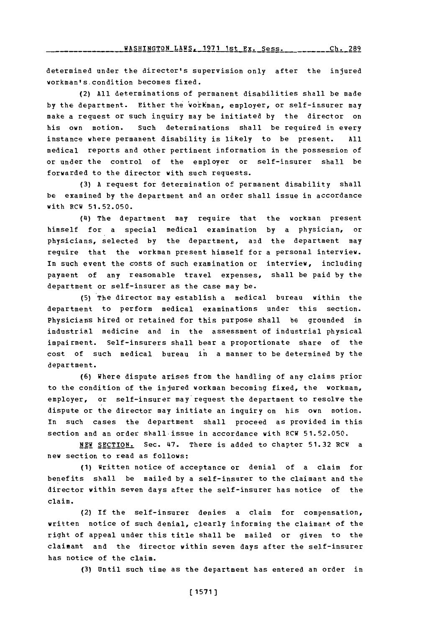determined under the director's supervision only after the injured workman'scondition becomes fixed.

(2) **All** determinations of permanent disabilities shall be made by the department. Either the workman, employer, or self-insurer may make a reguest or such inquiry may be initiated **by** the director on his own motion. Such determinations shall be required in every instance where permanent disability is likely to be present. **All** medical reports and other pertinent information in the possession of or under the control of the employer or self-insurer shall be forwarded to the director with such requests.

**(3) A** request for determination of permanent disability shall be examined **by** the department and an order shall issue in accordance with RCW **51.52.050.**

(4) The department may require that the workman present himself for a special medical examination **by** a physician, or physicians, selected **by** the department, and the department may require that the workman present himself for a personal interview. In such event the costs of such examination or interview, including payment of any reasonable travel expenses, shall be paid **by** the department or self-insurer as the case may be.

**(5)** The director may establish a medical bureau within the department to perform medical examinations under this section. Physicians hired **or** retained for this purpose shall be grounded in industrial medicine and in the assessment of industrial physical impairment. Self-insurers shall bear a proportionate share of the cost of such medical bureau in a manner to be determined **by** the department.

**(6)** Where dispute arises from the handling of any claims prior to the condition of the injured workman becoming fixed, the workman, employer, or self-insurer may request the department to resolve the dispute or the director may initiate an inquiry on his own motion. In such cases the department shall proceed as provided in this section and an order shall-issue in accordance with RCW **51.52.050.**

**NEW SECTION.** Sec. 47. There is added to chapter **51.32** RCW a new section to read as follows:

**(1)** written notice of acceptance or denial of a claim for benefits shall be mailed **by** a self-insurer to the claimant and the director within seven days after the self-insurer has notice of the claim.

(2) If the self-insurer denies a claim for compensation, written notice of such denial, clearly informing the claimant of the right of appeal under this title shall be mailed or given to the claimant and the director within seven days after the self-insurer has notice of the claim.

**(3)** Until such time as the department has entered an order in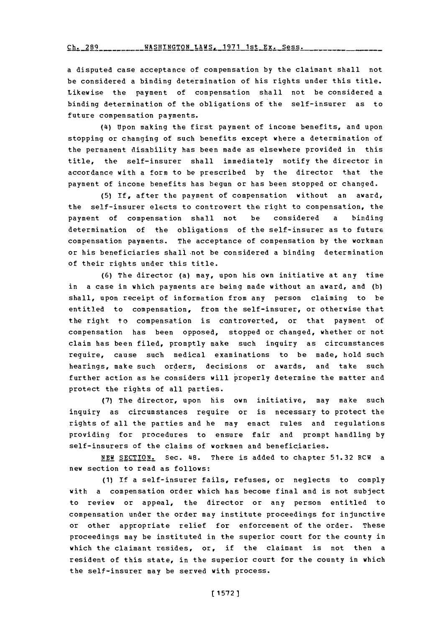a disputed case acceptance of compensation **by** the claimant shall not be considered a binding determination of his rights under this title. Likewise the payment of compensation shall not be considered a binding determination of the obligations of the self-insurer as to future compensation payments.

**(14)** Upon making the first payment of income benefits, and upon stopping or changing of such benefits except where a determination of the permanent disability has been made as elsewhere provided in this title, the self-insurer shall immediately notify the director in accordance with a form to be prescribed **by** the director that the payment of income benefits has begun or has been stopped or changed.

**(5)** If, after the payment of compensation without an award, the self-insurer elects to controvert the right to compensation, the payment of compensation shall not be considered a binding determination of the obligations of the self-insurer as to future compensation payments. The acceptance of compensation **by** the workman or his beneficiaries shall not be considered a binding determination of their rights under this title.

**(6)** The director (a) may, upon his own initiative at any time in a case in which payments are being made without an award, and **(b)** shall, upon receipt of information from any person claiming to be entitled to compensation, from the self-insurer, or otherwise that the right to compensation is controverted, or that payment of compensation has been opposed, stopped or changed, whether or not claim has been filed, promptly make such inguiry as circumstances require, cause such medical examinations to be made, hold such hearings, make such orders, decisions or awards, and take such further action as he considers will properly determine the matter and protect the rights of all parties.

**(7)** The director, upon his own initiative, may make such inquiry as circumstances require or is necessary to protect the rights of all the parties and he may enact rules and regulations providing for procedures to ensure fair and prompt handling **by** self-insurers of the claims of workmen and beneficiaries.

**NEW SECTION.** Sec. 48. There is added to chapter **51.32** RCW a new section to read as follows:

**(1)** If a self-insurer fails, refuses, or neglects to comply with a compensation order which has become final and is not subject to review or appeal, the director or any person entitled to compensation under the order may institute proceedings for injunctive or other appropriate relief for enforcement of the order. These proceedings may be instituted in the superior court for the county in which the claimant resides, or, if the claimant is not then a resident of this state, in the superior court for the county in which the self-insurer may be served with process.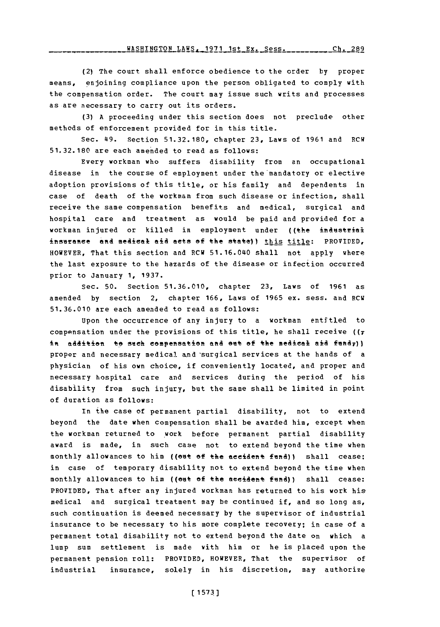(2) The court shall enforce obedience to the order **by** proper means, enjoining compliance upon the person obligated to comply with the compensation order. The court may issue such writs and processes as are necessary to carry out its orders.

**(3) A** proceeding under this section does not preclude other methods of enforcement provided for in this title.

Sec. 49. Section **51.32.180,** chapter **23,** Laws of **1961** and RCW **51.32.180** are each amended to read as follows:

Every workman who suffers disability from an occupational disease in the course of employment under the mandatory or elective adoption provisions of this title, or his family and dependents in case of death of the workman from such disease or infection, shall receive the same compensation benefits and medical, surgical and hospital care and treatment as would be paid and provided for a workman injured or killed in employment under ((the industrial insurance and medical aid acts of the state)) this title: PROVIDED, HOWEVER, That this section and RCW 51.16.040 shall not apply where the last exposure to the hazards of the disease or infection occurred prior to January **1, 1937.**

Sec. **50.** Section **51.36.010,** chapter **23,** Laws of **1961** as amended **by** section 2, chapter **166,** Laws of **1965** ex. sess. and RCW **51.36.010** are each amended to read as follows:

Upon the occurrence of any injury to a workman entitled to compensation under the provisions of this title, he shall receive **((7** in addition to such compensation and out of the medical aid fund<sub>7</sub>)) proper and necessary medical and 'surgical services at the hands of a physician of his own choice, if conveniently located, and proper and necessary hospital care and services during the period of his disability from such injury, but the same shall be limited in point of duration as follows:

In the case of permanent partial disability, not to extend beyond the date when compensation shall be awarded him, except when the workman returned to work before permanent partial disability award is made, in such case not to extend beyond the time when monthly allowances to him ((out of the accident fund)) shall cease; in case of temporary disability not to extend beyond the time when monthly allowances to him ((out of the accident fund)) shall cease: PROVIDED, That after any injured workman has returned to his work his medical and surgical treatment may be continued if, and so long as, such continuation is deemed necessary **by** the supervisor of industrial insurance to be necessary to his more complete recovery; in case of a permanent total disability not to extend beyond the date on which a lump sum settlement is made with him or he is placed upon the permanent pension roll: PROVIDED, HOWEVER, That the supervisor of industrial insurance, solely in his discretion, may authorize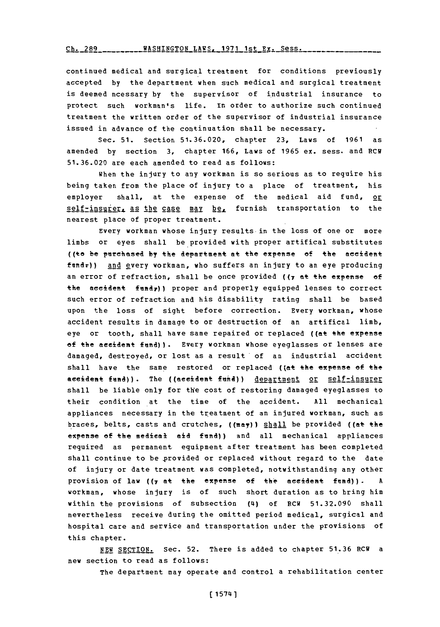Ch. 289 WASHINGTON LAWS, 1971 1st **Ex.** Sess.

continued medical and surgical treatment for conditions previously accepted **by** the department when such medical and surgical treatment is deemed ncessary by the supervisor of industrial insurance to protect such workman's life. In order to authorize such continued treatment the written order of the supervisor of industrial insurance issued in advance of the continuation shall be necessary.

Sec. **51.** Section **51.36.020,** chapter **23,** Laws of **1961** as amended **by** section **3,** chapter **166,** Laws of **1965** ex. sess. and RCW **51.36.020** are each amended to read as follows:

When the injury to any workman is so serious as to require his being taken from the place of injury to a place of treatment, his employer shall, at the expense of the medical aid fund, or self-insurer, as the case may be, furnish transportation to the nearest place of proper treatment.

Every workman whose injury results in the loss of one or more limbs or eyes shall be provided with proper artifical substitutes ((to be purchased by the department at the expense of the accident ftndr)) **and** every workman, who suffers an injury to an eye producing an error of refraction, shall be once provided **((7** at the expense of the accident fundy)) proper and properly equipped lenses to correct such error of refraction and his disability rating shall be based upon the loss of sight before correction. Every workman, whose accident results in damage to or destruction of an artifical limb, eye or tooth, shall have same repaired or replaced ((at the expense of the accident fund)). Every workman whose eyeglasses or lenses are damaged, destroyed, or lost as a result of an industrial accident shall have the same restored or replaced ((at the expense of the aeeident fund)). The ((aeeident fund)) department or self-insurer shall be liable only for the cost of restoring damaged eyeglasses to their condition at the time of the accident. **All** mechanical appliances necessary in the treatment of an injured workman, such as braces, belts, casts and crutches, ((may)) shall be provided ((at the expense of the medical aid fund)) and all mechanical appliances required as permanent equipment after treatment has been completed shall continue to be provided or replaced without regard to the date of injury or date treatment was completed, notwithstanding any other provision of law **((7** at the expense **of** the neeident fund)) . **A** workman, whose injury is of such short duration as to bring him within the provisions of subsection (4) of RCW **51.32.090** shall nevertheless receive during the omitted period medical, surgical and hospital care and service and transportation under the provisions of this chapter.

**NEW SECTION.** Sec. **52.** There is added to chapter **51.36** RCW a new section to read as follows:

The department may operate and control a rehabilitation center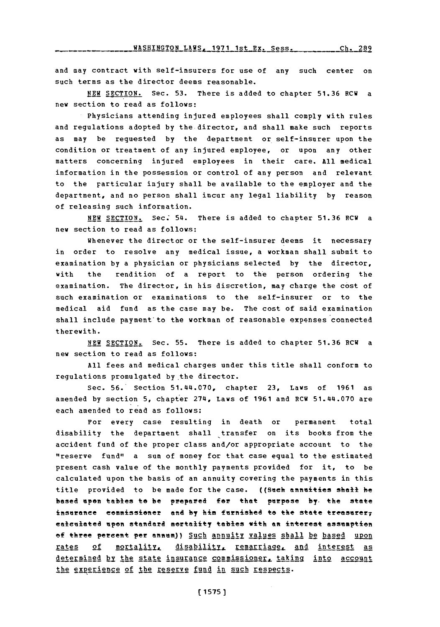and may contract with self-insurers for use of any such center on such terms as the director deems reasonable.

**NEW SECTION.** Sec. **53.** There is added to chapter **51.36** RCW a new section to read as follows:

Physicians attending injured employees shall comply with rules and regulations adopted **by** the director, and shall make such reports as may be requested **by** the department or self-insurer upon the condition or treatment of any injured employee, or upon any other matters concerning injured employees in their care. **All** medical information in the possession or control of any person and relevant to the particular injury shall be available to the employer and the department, and no person shall incur any legal liability **by** reason of releasing such information.

**NEW SECTION.** Sec; 54. There is added to chapter **51.36** RCW a new section to read as follows:

Whenever the director or the self-insurer deems it necessary in order to resolve any medical issue, a workman shall submit to examination **by** a physician or physicians selected **by** the director, with the rendition of a report to the person ordering the examination. The director, in his discretion, may charge the cost **of** such examination or examinations to the self-insurer or to the medical aid fund as the case may be. The cost of said examination shall include payment to the workman of reasonable expenses connected therewith.

**NEW** SECTION. Sec. **55.** There is added to chapter **51.36** RCW a new section to read as follows:

**All** fees and medical charges under this title shall conform to regulations promulgated by the director.

Sec. **56.** Section 51.4(4.070, chapter **23,** Laws of **1961** as amended by section 5, chapter 274, Laws of 1961 and RCW 51.44.070 are each amended to read as follows:

For every case resulting in death or permanent total disability the department shall transfer on its books from the accident fund of the proper class and/or appropriate account to the "reserve fund" a sum of money for that case equal to the estimated present cash value of the monthly payments provided for it, to be calculated upon the basis of an annuity covering the payments in this title provided to be made for the case. ((Such annuities shall be based upen tables to be prepared for that purpose by, the state insurance commissioner and by him furnished to the state treasurer; ealeulated upon standard mortality tables with an interest assumption of three percent per annum)) Such annuity values shall be based upon **rates** of mortality, disability, remarriage, and interest as determined **by** the state insurance commissioner. taking into account the experience of the reserve fund in such respects.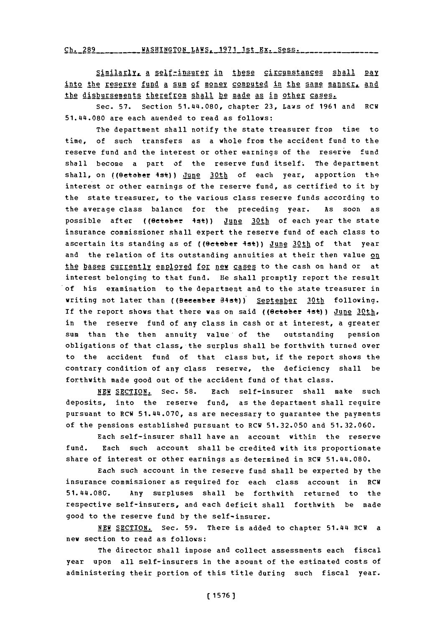**Ch. 289 WASHINGTON** LAWS, **1971** 1st Ex. Sess.

 $Simplify_{A}$  a self-insurer in these circumstances shall pay into the reserve fund a sum of money computed in the same manner, and the disbursements therefrom shall be made as in other cases.

Sec. **57.** Section 51.4~4.080, chapter **23,** Laws of **1961** and RCW 51.44.080 are each amended to read as follows:

The department shall notify the state treasurer from time to time, of such transfers as a whole from the accident fund to the reserve fund and the interest or other earnings of the reserve fund shall become a part of the reserve fund itself. The department shall, on ((Oetober 4st)) June 30th of each year, apportion the interest or other earnings of the reserve fund, as certified to it **by** the state treasurer, to the various class reserve funds according to the average class balance for the preceding year. **As** soon as possible after ((October 4st)) June 30th of each year the state insurance commissioner shall expert the reserve fund of each class to ascertain its standing as of ((@eteber 4st)) June 30th of that year and the relation of its outstanding annuities at their then value on the bases currently employed for new cases to the cash on hand or at interest belonging to that fund. He shall promptly report the result of his examination to the department and to the state treasurer in writing not later than ((Becember 34st)) September 30th following. If the report shows that there was on said (( $\theta$ etober 4st)) June  $30$ th, in the reserve fund of any class in cash or at interest, a greater sum than the then annuity value' of the outstanding pension obligations of that class, the surplus shall be forthwith turned over to the accident fund of that class but, if the report shows the contrary condition of any class reserve, the deficiency shall be forthwith made good out of the accident fund of that class.

**NEW** SECTION. Sec. **58.** Each self-insurer shall make such deposits, into the reserve fund, as the department shall require pursuant to RCW 51.441.070, as are necessary to guarantee the payments of the pensions established pursuant to RCW **51.32.050** and **51.32.060.**

Each self-insurer shall have an account within the reserve fund. Each such account shall be credited with its proportionate share of interest or other earnings as determined in RCW 51.44.080.

Each such account in the reserve fund shall be experted **by** the insurance commissioner as required for each class account in RCW 51.44.08C. Any surpluses shall be forthwith returned to the respective self-insurers, and each deficit shall forthwith be made good to the reserve fund **by** the self-insurer.

**NEW SECTION.** Sec. **59.** There is added to chapter 51.4&4 RCW a new section to read as follows:

The director shall impose and collect assessments each fiscal year upon all self-insurers in the apount of the estimated costs of administering their portion of this title during such fiscal year.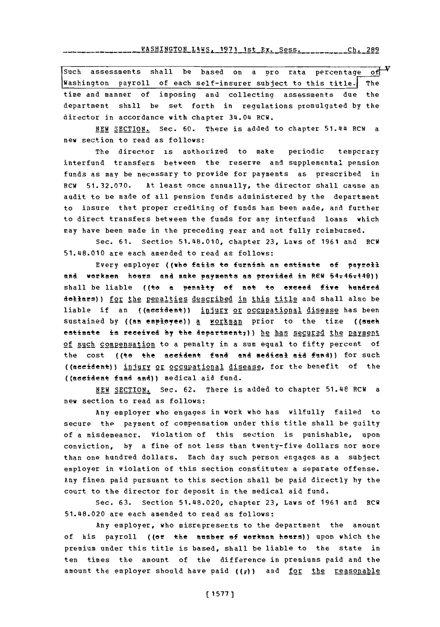Such assessments shall be based on a pro rata percentage of  $\overline{Y}$ <br>Washington payroll of each self-insurer subject to this title. The time and manner of imposing and collecting assessments due the department shall be set forth in regulations promulgated **by** the director in accordance with chapter 34.04 RCW.

**NEW SECTION.** Sec. **60.** There is added to chapter **51.Q4** RCW a new section to read as follows:

The director is authorized to make periodic tempcrary interfund transfers between the reserve and supplemental pension funds as may be necessary to provide for payments as prescribed in RCW **51.32.070.** At least once annually, the director shall cause an audit to be made of all pension funds administered **by** the department to insure that proper crediting of funds has been made, and further to direct transfers between the funds for any interfund loans which may have been made in the preceding year and not fully reimbursed.

Sec. **61.** Section 51.48.010, chapter **23,** Laws of **1961** and ECW 51.48.010 are each amended to read as follows:

Every employer ((who fails to furnish an estimate of payrell and workmen hours and make payments as provided in **REW 54-46-449**)) shall be liable ((to **a** penalty **of** met to exceed five kindred dollars)) for the penalties described in this title and shall also be liable if an ((accident)) injury or occupational disease has been sustained by ((an employee)) a **MOIKMann** prior to the time ((such estimate is received by the department<sub>7</sub>)) he has secured the payment of such compensation to a penalty in a sum equal to fifty percent of the cost ((to the accident fund and medical aid fund)) for such ((aeeident)) injury or occupational disease, for the benefit of the ((aeeident find and)) medical aid fund.

**NEW SECTION.** Sec. **62.** There is added to chapter 51.48 RCW a new section to read as follows:

Any employer who engages in work who has wilfully failed to secure the payment of compensation under this title shall be guilty of a misdemeancr. violation of this section is punishable, upon conviction, **by** a fine of not less than twenty-five dollars nor more than one hundred dollars. Each day such person engages as a subject employer in violation of this section constitutes a separate offense. Any fines paid pursuant to this section shall be paid directly **by** the court to the director for deposit in the medical aid fund.

Sec. **63.** Section 51.48.020, chapter **23,** Laws of **1961** and RCW 51.48.020 are each amended to read as follows:

**Any** employer, who misrepresents to the department the amount of his payroll ((or the number of workman heurs)) upon which the premium under this title is based, shall be liable to the state in ten times the amount of the difference in premiums paid and the amount the employer should have paid ((7)) and for the reasonable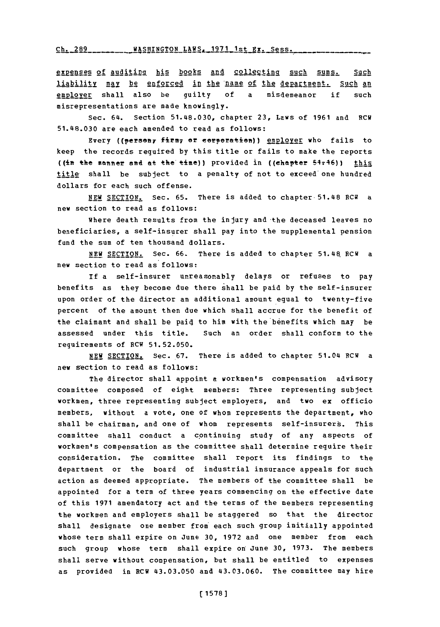Ch. 289 \_\_\_\_\_\_ \_\_ WASHINGTON LAWS, 1971 1st Ex. Sess.

expenses of auditing his books and collecting such sums. Such liability may be enforced in the name of the department. Such an  $enplayer$  shall also be guilty of a misdemeanor if such</u> misrepresentations are made knowingly.

Sec. 64. Section **51.48.030,** chapter **23,** Laws of **1961** and RCW 51.48.030 are each amended to read as follows:

Every ((person, firm, or ecrporation)) employer who fails to keep the records required **by** this title or fails to make the reports ((in the manner and at the time)) provided in ((chapter 54-46)) this title shall be subject to a penalty of not to exceed one hundred dollars for each such offense.

**NEW** SECTION. Sec. **65.** There is added to chapter-51.48 **RCW** a new section to read as follows:

Where death results from the injury and the deceased leaves no beneficiaries, a self-insurer shall pay into the supplemental pension fund the sum of ten thousand dollars.

**NEW SECTION.** Sec. **66.** There is added to chapter 51.4R RCW a new section to read as follows:

If a self-insurer unreasonably delays or refuses to pay benefits as they become due there shall be paid **by** the self-insurer upon order of the director an additional amount equal to twenty-five percent of the amount then due which shall accrue for the benefit of the claimant and shall be paid to him with the benefits which may be assessed under this title. Such an order shall conform to the requirements of ECW **51.52.050.**

NEW SECTION. Sec. 67. There is added to chapter 51.04 RCW a new section to read as follows:

The director shall appoint a workmen's compensation advisory committee composed of eight members: Three representing subject workmen, three representing subject employers, and two ex officio members, without a vote, one of whom represents the department, who shall be chairman, and one of whom represents self-insurers. This committee shall conduct a continuing study of any aspects of workmen's compensation as the committee shall determine require their consideration. The committee shall report its findings to the department or the board of industrial insurance appeals for such action as deemed appropriate. The members of the committee shall be appointed for a term of three years commencing on the effective date of this **1971** amendatory act and the terms of the members representing the workmen and employers shall be staggered so that the director shall designate one member from each such group initially appointed whose term shall expire on June **30, 1972** and one member from each such group whose term shall expire on June **30, 1973.** The members shall serve without compensation, but shall be entitled to expenses as provided in **ECH** 43.03.050 and 43.03.060. The committee may hire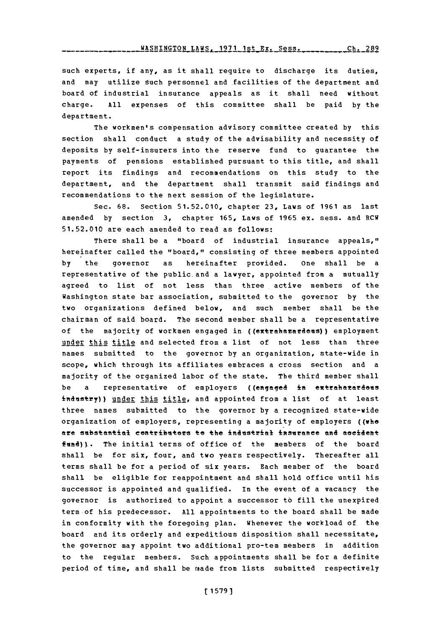**-- -A ------** H NG O **--------.** S **----- R Ch 289 WASHINGTON** LAWS. **1971** 1st Ex. Sess.

such experts, if any, as it shall require to discharge its duties, and may utilize such personnel and facilities of the department and board of industrial insurance appeals as it shall need without charge. **All** expenses of this committee shall be paid **by** the department.

The workmen's compensation advisory committee created **by** this section shall conduct a study of the advisability and necessity of deposits **by** self-insurers into the reserve fund to guarantee the payments of pensions established pursuant to this title, and shall report its findings and recommendations on this study to the department, and the department shall transmit said findings and recommendations to the next session of the legislature.

Sec. **68.** Section **51.52.010,** chapter **23,** Laws of **1961** as last amended **by** section **3,** chapter **165,** Laws of **1965** ex. sess. and RCW **51.52.010** are each amended to read as follows:

There shall be a "board of industrial insurance appeals," hereinafter called the "board," consisting of three members appointed **by** the governor as hereinafter provided. one shall be a representative of the public-and a lawyer, appointed from **a** mutually agreed to list of not less than three active members of the Washington state bar association, submitted, to the governor **by** the two organizations defined below, and such member shall be the chairman of said board. The second member shall be a representative of the majority of workmen engaged in ((extrahazardeus)) employment under this title and selected from a list of not less than three names submitted to the governor **by** an organization, state-wide in scope, which through its affiliates embraces a cross section and a majority of the organized labor of the state. The third member shall be a representative of employers ((engaged in extrahazardous industry)) under this title, and appointed from a list of at least three names submitted to the governor **by** a recognized state-wide organization of employers, representing a majority of employers ((who are substantial contributors to the industrial insurance and accident fund)). The initial terms of office of the members of the board shall be for six, four, and two years respectively. Thereafter all terms shall be for a period of six years. Each member of the board shall be eligible for reappointment and shall hold office until his successor is appointed and qualified. In the event of a vacancy the governor is authorized to appoint a successor to fill the unexpired term of his predecessor. **All** appointments to the board shall be made in conformity with the foregoing plan. Whenever the workload of the board and its orderly and expeditious disposition shall necessitate, the governor may appoint two additional pro-tem members in addition to the regular members. Such appointments shall be for a definite period of time, and shall be made from lists submitted respectively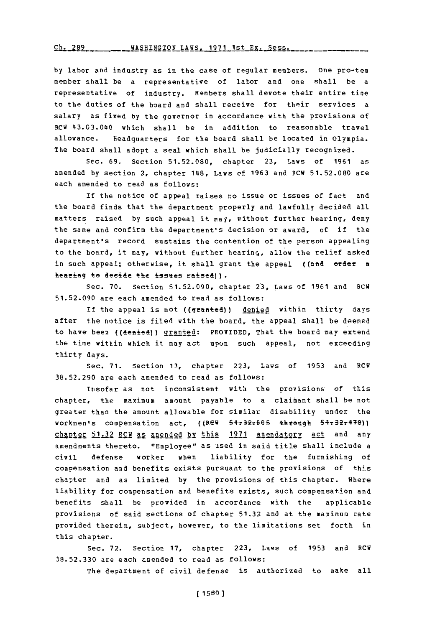**Cb. 289 \_ \_IASHINGTON** 1AWS. **191** 1st **Ex.** Ses.

**by** labor and industry as in the case of regular members. One pro-ten member shall be a representative of labor and one shall be a representative of industry. Members shall devote their entire time to the duties of the board and shall receive for their services a salary as fixed **by** the governor in accordance with the provisions of RCW 43.03.040 which shall be in addition to reasonable travel allowance. Headquarters for the board shall be located in Olympia. The board shall adopt a seal which shall be judicially recognized.

Sec. **69.** Section **51.52.080,** chapter **23,** Laws of **1961** as amended **by** section 2, chapter 1418, Laws of **1963** and FCW **51.52.080** are each amended to read as follows:

**If** the notice of appeal raises no issue or issues of fact and the board finds that the department properly and lawfully decided all matters raised **by** such appeal it may, without further hearing, deny the same and confirm the department's decision or award, of if the department's record sustains the contention of the person appealing to the board, it may, without further hearing, allow the relief asked in such appeal; otherwise, it shall grant the appeal ((and erder a hearing to decide the issues raised)).

Sec. **70.** Section *51.52.090,* chapter **2.3,** Laws of **1961** and RGW **51.52.090** are each amended to read as follows:

If the appeal is not ((granted)) denied within thirty days after the notice is filed with the board, the appeal shall be deemed to have been ((denied)) granted: PROVIDED, That the board may extend the time within which it may act upon such appeal, not exceeding thirty days.

Sec. **71.** Section **13,** chapter **223,** Laws of **1953** and RCW **38.52.290** are each amended to read as follows:

Insofar as not inconsistent with the provisions of this chapter, the maximum amount payable to a claimant shall be not greater than the amount allowable for similar disability under the workmen's compensation act, ((REW 54-32-605 through 54-32-470)) ghapte: **51.32** RGW as amended **by** this **1971** amendatory act and any amendments thereto. "Employee" as used in said title shall include a civil defense worker when liability for the furnishing of compensation and benefits exists pursuant to the provisions of this chapter and as limited by the provisions of this chapter. Where liability for compensation and benefits exists, such compensation and benefits shall be provided in accordance with the applicable provisions of said sections of chapter **51.32** and at the maximum rate provided therein, subject, however, to the limitations set forth in this chapter.

Sec. *72.* Section **17,** chapter **223,** Laws of **1953** and RGW **38.52.330** are each amiended to read as follows:

The department of civil defense is authorized to make all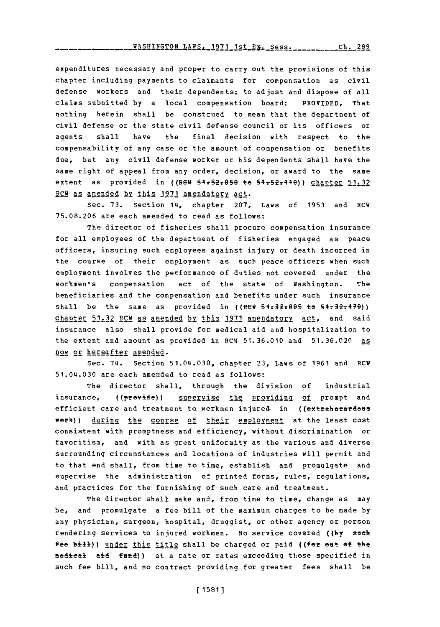expenditures necessary and proper to carry out the provisions of this chapter including payments to claimants for compensation as civil defense workers and their dependents; to adjust and dispose of all claims submitted **by** a local compensation board: PROVIDED, That nothing herein shall be construed to mean that the department of civil defense or the state civil defense council or its officers or agents shall have the final decision with respect to the compensability of any case or the amount of compensation or benefits due, but any civil defense worker or his dependents shall have the same right of appeal from any order, decision, or award to the same extent as provided in ((REW 54.52.050 to 54.52.1440)) charter 51.32 RCW as amended by this 1971 amendatory act.

Sec. **73.** Section 14, chapter **207,** Laws of **1953** and RCW **75.08.206** are each amended to read as follows:

The director of fisheries shall procure compensation insurance for all employees of the department of fisheries engaged as peace officers, insuring such employees against injury or death incurred in the course of their employment as such peace officers when such employment involves the performance of duties not covered under the workmen's compensation act of the state of Washington. The beneficiaries and the compensation and benefits under such insurance shall be the same as provided in  $(\text{RCF } 54.32.0065)$  to  $54.32.470)$ chapter 51.32 RCW as amended by this 1971 amendatory act, and said insurance also shall provide for medical aid and hospitalization to the extent and amount as provided in RCW 51.36.010 anid **51.36.020** as now or hereafter amended.

Sec. 74. Section 51.0a.030, chapter **23,** Laws of **1961** and RCW 51.04.030 are each amended to read as follows:

The director shall, through the division of industrial insurance, ((provide)) super<u>yise the providing of</u> prompt and efficient care and treatment to workmen injured in ((extrahazardous werk)) during the course of their employment at the least cost consistent with promptness and efficiency, without discrimination or favoritism, and with as great uniformity as the various and diverse surrounding circumstances and locations of industries will permit and to that end shall, from time to time, establish and promulgate and supervise the administration of printed forms, rules, regulations, and practices for the furnishing of such care and treatment.

The director shall make and, from time to time, change as may be, and promulgate a fee bill of the maximum charges to be made **by** any physician, surgeon, hospital, druggist, or other agency or person rendering services to injured workmen. No service covered **((by** see fee bill)) under this title shall be charged or paid ((for out of the medieetl **aid** fuan)) at a rate or rates exceeding those specified in such fee bill, and no contract providing for greater fees shall be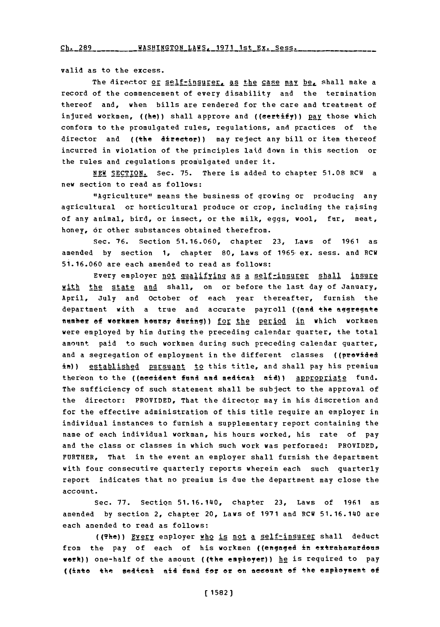<u>Ch. 289 \_\_\_\_\_ \_\_ WASHINGTON LAWS, 1971 1st Ex. S</u>

valid as to the excess.

The director or self-insurer, as the case may be, shall make a record of the commencement of every disability and the termination thereof and, when bills are rendered for the care and treatment of injured workmen, ((he)) shall approve and ((certify)) pay those which conform to the promulgated rules, regulations, and practices of the director and ((the director)) may reject any bill or item thereof incurred in violation of the principles laid down in this section or the rules and regulations promulgated under it.

**NEW** SECTION. Sec. **75.** There is added to chapter **51.08** RCW a new section to read as follows:

"Agriculture" means the business of growing or producing any agricultural or horticultural produce or crop, including the raising of any animal, bird, or insect, or the milk, eggs, wool, fur, meat, honey, or other substances obtained therefrom.

Sec. **76.** Section **51.16.060,** chapter **23,** Laws of **1961** as amended **by** section **1,** chapter **80,** Laws of 1965-ex. sess. and RCW 51.16.060 are each amended to read as follows:

Every employer not qualifying as a selfrinsurer shall insure with the state and shall, on or before the last day of January, April, July and October of each year thereafter, furnish the department with a true and accurate payroll ((and the aggregate number of workmen hours, during)) for the period in which workmen were employed **by** him during the preceding calendar quarter, the total amount paid to such workmen during such preceding calendar quarter, and a segregation of employment in the different classes ((provided in)) established pursuant to this title, and shall pay his premium thereon to the ((accident fund and medical aid)) appropriate fund. The sufficiency of such statement shall be subject to the approval of the director: PROVIDED, That the director may in his discretion and for the effective administration of this title require an employer in individual instances to furnish a supplementary report containing the name of each individual workman, his hours worked, his rate of pay and the class or classes in which such work was performed: PROVIDED, FURTHER, That in the event an employer shall furnish the department with four consecutive quarterly reports wherein each such quarterly report indicates that no premium is due the department may close the account.

Sec. **77.** Section 51.16.140, chapter **23,** Laws of **1961** as amended **by** section 2, chapter 20, Laws of **1971** and RCW 51.16.140 are each amended to read as follows:

((The)) Frery employer who is not a self-insurer shall deduct from the pay of each of his workmen ((engaged in extrahazardous work)) one-half of the amount ((the employer)) he is required to pay ((imto the aede44+ aid **feft f3** or **oft** aeceent **of** the employent of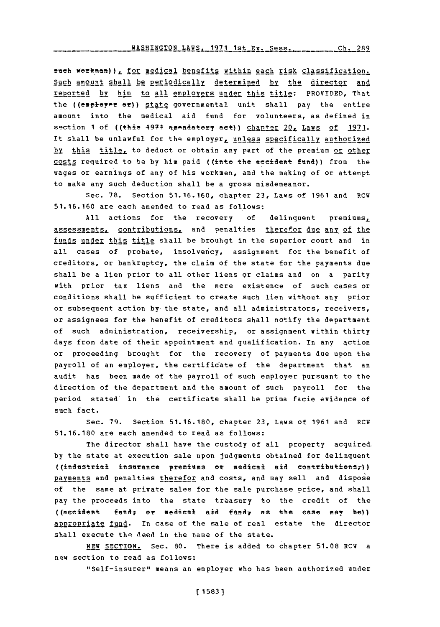such workman)) *i* for medical benefits within each risk classification. Such amount shall be Periodically determined **by** the director and reported by him to all employers under this title: PROVIDED, That the ((employer or)) state governmental unit shall pay the entire amount into the medical aid fund for volunteers, as defined in section 1 of ((this 4974 amendatory act)) chapter 20, Laws of 1971. It shall be unlawful for the employer, unless specifically authorized **by** this title, to deduct or obtain any part of the premium or other costs required to be by him paid ((into the accident fund)) from the wages or earnings of any of his workmen, and the making of or attempt to make any such deduction shall be a gross misdemeanor.

Sec. **78.** Section **51.16.160,** chapter **23,** Laws of **1961** and RCW **51.16.160** are each amended to read as follows:

**All** actions for the recovery **of** delinquent premiums., assessments, contributions, and penalties therefor due any of the funds under this title shall be brouhgt in the superior court and in all cases of probate, insolvency, assignment for the benefit of creditors, or bankruptcy, the claim of the state for the payments due shall be a lien prior to all other liens **or** claims and on a parity with prior tax liens and the mere existence of such cases or conditions shall be sufficient to create such lien without any prior or subsequent action by-the state, and all administrators, receivers, or assignees for the benefit of creditors shall notify the department of such administration, receivership, or assignment within thirty days from date of their appointment and qualification. In any action or proceeding brought for the recovery of payments due upon the payroll of an employer, the certificate of the department that an audit has been made of the payroll of such employer pursuant to the direction of the department and the amount of such payroll for the period stated' in the certificate shall **be** Prima facie evidence of such fact.

Sec. **79.** Section **51.16.180,** chapter **23,** Laws of **1961** and RCW **51. 16.180** are each amended to read as follows:

The director shall have the custody of all property acquired. **by** the state at execution sale upon judgments obtained for delinquent  $($ (industrial insurance premiums or medical aid contributions,)) payments and penalties therefor and costs, and may sell and dispose of the same at private sales for the sale purchase price, and shall pay the proceeds into the state treasury to the credit of the **((accident** fund; or medical aid fund; as the case may be)) appropriate fund. In case of the sale of real estate the director shall execute the deed in the name of the state.

**NEW** SECTION. Sec. **80.** There is added to chapter **51.08** RCW a new section to read as follows:

"Self-insurer" means an employer who has been authorized under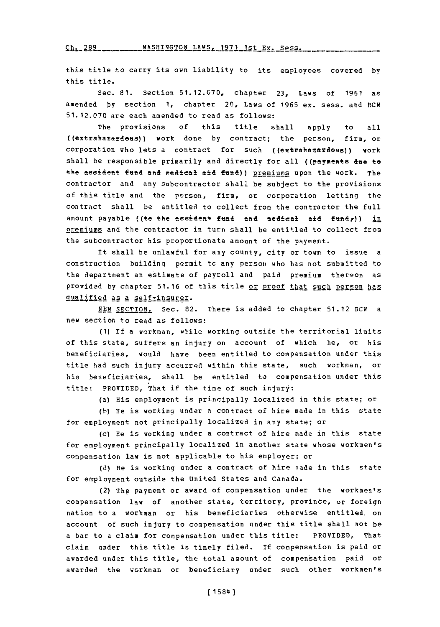Ch. 289WASHINGTON **LAWS. 1971** 1st Ex. *Sess.* **Ch. 289**

this title to carry its own liability to its employees covered **by** this title.

Sec-. **81.** Section **51.12.070,** chapter **23,** Laws of **1961** as amended **by** section **1,** chapter 20, Laws of **1965** ex. sess. and RCW **51.12.070** are each amended to read as follows:

The provisions **of** this title shall apply to all ((extrahamardees)) work done **by** contract; the person, firm, or corporation who lets a contract for such ((extrahazardeus)) work shall be responsible primarily and directly for all ((payments due to the accident fund and medical aid fund)) premiums upon the work. The contractor and any subcontractor shall be subject to the provisions of this title and the person, firm, or corporation letting the contract shall be entitled to collect from the contractor the full amount payable ((to the accident fund and medical aid fundr)) in premiums and the contractor in turn shall be entitled to collect from the subcontractor his proportionate amount of the payment.

It shall be unlawful for any county, city or town to issue a construction building permit to any person who has not submitted to the department an estimate of payroll and paid premium thereon as provided by chapter 51.16 of this title or **PEOOf that such Person has** qualified as a selfrinsurer.

**NEW SECTION.** Sec. **82.** There is added to chapter **51.12** RCW a new section to read as follows:

**(1) if** a workman, while working outside the territorial limits of this state, suffers an injury on account of which he, or his beneficiaries, would have been entitled to compensation under this title had such injury accurred within this state, such workman, or his beneficiaries, shall be entitled to compensation under this title: PROVIDED, That if the time of such injury:

(a) His employment is principally localized in this state; or

(b) He is working under a contract of hire made in this state for employment not principally localized in any state; or

(c) He is working under a contract of hire made in this state for employment principally localized in another state whose workmen's compensation law is not applicable to his employer; or

**(d)** He is working under a contract of hire made in this state for employment outside the United States and Canada.

(2) The payment or award of compensation under the workmen's compensation law of another state, territory, province, or foreign nation to a workman or his beneficiaries otherwise entitled, on account of such injury to compensation under this title shall not be a bar to a claim for compensation under this title: PROVIDED, That claim under this title is timely filed. If compensation is paid or awarded under this title, the total amount of compensation paid or awarded the workman or beneficiary under such other workmen's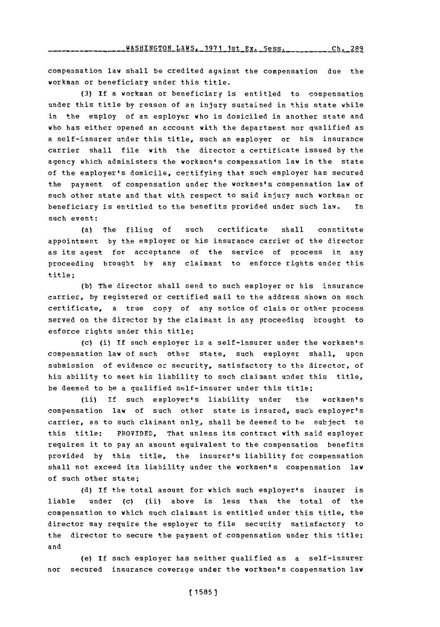compensation law shall be credited against the compensation due the workman or beneficiary under this title.

**(3) if** a workman or beneficiary is entitled to compensation under this title **by** reason of an injury sustained in tis state while in the employ of an employer who is domiciled in another state and who has either opened an account with the department nor qualified as a self-insurer under this title, such an employer or his insurance carrier shall file with the director a certificate issued **by** the agency which administers the workmen's compensation law in the state of the employer's domicile, certifying that such employer has secured the payment of compensation under the workmen's compensation law of such other state and that with respect to said injury such workman or beneficiary is entitled to the benefits provided under such law. In such event:

(a) The filing of such certificate shall constitute appointment **by** the employer or his insurance carrier of the director as its agent for acceptance of the service of process in any proceeding brought by any claimant to enforce rights under this title;

**(b)** The director shall send to such employer or his insurance carrier, **by** registered or certified mail to the address shown on such certificate, a true copy of any notice of claim or other process served on the director **by** the claimant in any proceeding brought to enforce rights under this title;

(c) (i) If such employer is a self-insurer under the workmen's compensation law of such other state, such employer shall, upon submission of evidence or security, satisfactory to the director, of his ability to meet his liability to such claimant under this title, be deemed to be a qualified self-insurer under this title;

(ii) **if** such employer's liability under the workmen's compensation law of such other state is insured, such employer's carrier, as to such claimant only, shall be deemed to he subject to this title: PROVIDED, That unless its contract with said employer requires it to pay an amount equivalent to the compensation benefits provided **by** this title, the insurer's liability for compensation shall not exceed its liability under the workmen's compensation law of such other state;

**(d)** If the total amount for which such employer's insurer is liable under (c) (ii) above is less than the total of the compensation to which such claimant is entitled under this title, the director may require the employer to file security satisfactory to the director to secure the payment of compensation under this title; and

(e) **If** such employer has neither qualified as a self-insurer nor secured insurance coverage under the workmen's compensation law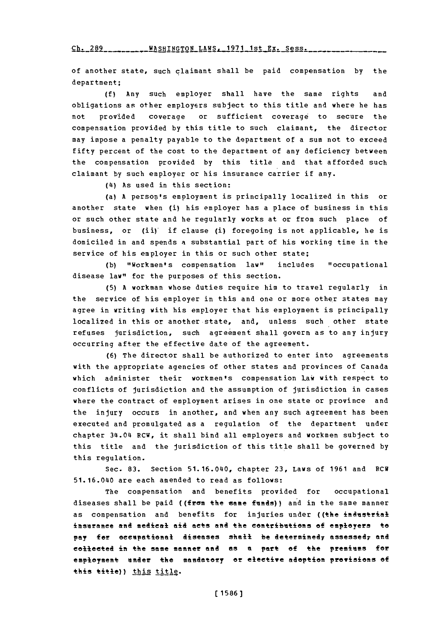rh- *7RQ* WBQUTMrrrnM **T.AWq-** 14471 **1Q+** *VY* **qo -Q**

of another state, such claimant shall be paid compensation **by** the department;

**(f)** Any such employer shall have the same rights and obligations as other employers subject to this title and where he has not provided coverage or sufficient coverage to secure the compensation provided **by** this title to such claimant, the director may impose a penalty payable to the department of a sum not to exceed fifty percent of the cost to the department of any deficiency between the compensation provided **by** this title and that afforded such claimant **by** such employer or his insurance carrier if any.

**(14)** As used in this section:

(a) **A** person's employment is principally localized in this or another state when (i) his employer has a place of business in this or such other state and he regularly works at or from such place of business, or (ii) if clause (i) foregoing is not applicable, he is domiciled in and spends a substantial part of his working time in the service of his employer in this or such other state;

(b) "Workmen's compensation law" includes "occupational disease law" for the purposes of this section.

**(5) A** workman whose duties require him to travel regularly in the service of his employer in this and one or more other states may agree in writing with his employer that his employment is principally localized in this or another state, and, unless such other state refuses jurisdiction, such agreement shall govern as to any injury occurring after the effective date of the agreement.

**(6)** The director shall be authorized to enter into agreements with the appropriate agencies of other states and provinces of Canada which administer their workmen's compensation Law with respect to conflicts of jurisdiction and the assumption of jurisdiction in cases where the contract of employment arises in one state or province and the injury occurs in another, and when any such agreement has been executed and promulgated as a regulation of the department under chapter 34s.04 RCW, it shall bind all employers and workmen subject to this title and the jurisdiction of this title shall be governed **by** this regulation.

Sec. **83.** Section 51.16.040, chapter **23,** Laws of **1961** and RCW 51.16.040 are each amended to read as follows:

The compensation and benefits provided for occupational diseases shall be paid ((frem the same **funds))** and in the same manner as compensation and benefits for injuries under ((the industrial insurance and medical aid acts and the contributions of employers to pay for occupational diseases shall be determined<sub>7</sub> assessed<sub>7</sub> and collected **in** the same manner and as a part **of** the premiums for employment under the manatory **or** elective adertien previsions of this title)) this title.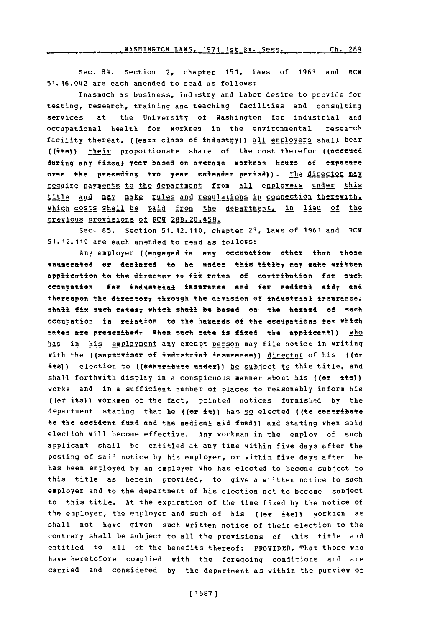.. . WASHINGTON LAHSL **1971** 1st Ex.-ess. **Ch. 289**

Sec. 84. Section 2, chapter **151,** Laws of **1963** and RCW 51.16.042 are each amended to read as follows:

Inasmuch as business, industry and labor desire to provide for testing, research, training and teaching facilities and consulting services at the University of Washington for industrial and occupational health for workmen in the environmental research facility thereat, ((each elass **of** indastry)) **all** emploYers shall bear ((its)) their proportionate share of the cost therefor ((aeerned during any fiseal year based en average werkman hears **of** exposure over the preceding two year calendar period)). The director may require payments to the department from all employers under this title and may make rules and regulations in connection therewith. which costs shall be paid from the department, in lieu of the 2eg 2gg Provisin2s **of** RCW 28B.20.458.

Sec. **85.** Section **51.12.110,** chapter **23,** Laws of **1961** and RCW **51.12.110** are each amended to read as follows:

Any employer ((engaged in any occupation other than those enumerated or declared to be under this title, may make written application to the director to fix rates of contribution for such eeeupation **for** industrial insurance **and** for medicael aid **and** thereupon the director, through the division of industrial insurance, shall fix such rates, which shall be based on the hazard of such ecupation in relation to the hazards **of** the oeeupations for which rates are prescribed. When such rate is fixed the applicant)) who has in his employment any exempt person may file notice in writing with the ((superviser of industrial insurance)) director of his ((or its)) election to ((contribute under)) be subject to this title, and shall forthwith display in a conspicuous manner about his  $((er *its*))$ works and in a sufficient number of places to reasonably inform his ((or its)) workmen of the fact, printed notices furnished **by** the department stating that he **((or** it)) has so elected ((to contribute to the eecident fund and the medical aid **fund))** and stating when said electioh will become effective. Any workman in the employ of such applicant shall be entitled at any time within five days after the posting of said notice **by** his employer, or within five days after he has been employed **by** an employer who has elected to become subject to this title as herein provided, to give a written notice to such employer and to the department of his election not to become subject to this title. At the expiration of the time fixed **by** the notice of the employer, the employer and such of his ((or its)) workmen as shall not have given such written notice of their election to the contrary shall be subject to all the provisions of this title and entitled to all of the benefits thereof: PROVIDED, That those who have heretofore complied with the foregoing conditions and are carried and considered **by** the department as within the purview of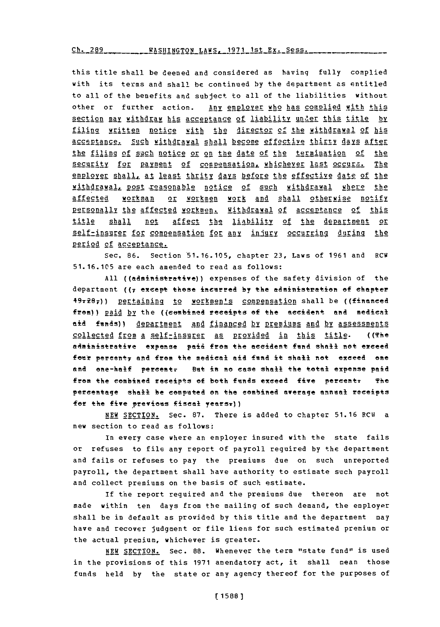**Ch. 289 WASHINGTON LAWS, 1971 1st Ex. Sess.** 

this title shall be deemed and considered as having fully complied with its terms and shall **be** continued **by** the department as entitled to all of the benefits and subject to all **of** the liabilities without other or further action. Any employer who has complied with this section may withdraw his acceptance of liability under this title by filinq written notice with the director **of** the withdrawal of his asceptance. Such withdrawal shall become effective thirty **ays afte** the filing of such notice or on the date of the termination of the security for payment of compensation, whichever last occurs. The employer shall, at least thrity days before the effective date of the withdrawal, post reasonable notice of such withdrawal where the affected workman or workmen work and shall otherwise notify Personally the affected workmen. Withdrawal of acceptance of this title shall not affect the liability of the department or self-insurer for compensation for any injury occurring during the period of acceptance.

Sec, **86.** Section **51.16.105,** chapter **23,** Laws of **1961** and RCW **51.16.105** are each amended to read as follows:

All ((administrative)) expenses of the safety division of the department ((7 except those incurred by the administration of chapter  $49-28$ )) pertaining to workmen's compensation shall be ((financed from)) paid **by** the ((eembimed receipts **ef** the accident and medical aid fnnds)l A~pAZ1Mgnt **And** financed by Premiums and **by** assessments collected from a self-insurer as Provided in this title. ((The administrative expense paid from the accident fund shall not exceed four percent<sub>7</sub> and from the medical aid fund it shall not exceed one and one-half percent. But in no case shall the total expense paid from the combined receipts of both funds exceed five percent: The percentage shail be computed on the combined average annual receipts for the five previous fiscal years<sub>v</sub>))

NEW SECTIO2N. Sec- **87.** There is added to chapter **51.16** RCU a new section to read as follows:

In every case where an employer insured with the state fails or refuses to file any report of payroll required **by** the department and fails or refuses to pay the premiums due on such unreported payroll, the department shall have authority to estimate such payroll and collect premiums on the basis of such estimate.

**if** the report required and the premiums due thereon are not made within ten days from the mailing of such demand, the employer shall be in default as provided **by** this title and the department may have and recover judgment or file liens for such estimated premium or the actual premium, whichever is greater.

**NEW SECTION.** Sec. **88.** whenever the term "state fund" is used in the provisions **of** this **1971** amendatory act, it shall mean those funds held **by** the state or any agency thereof for the purposes of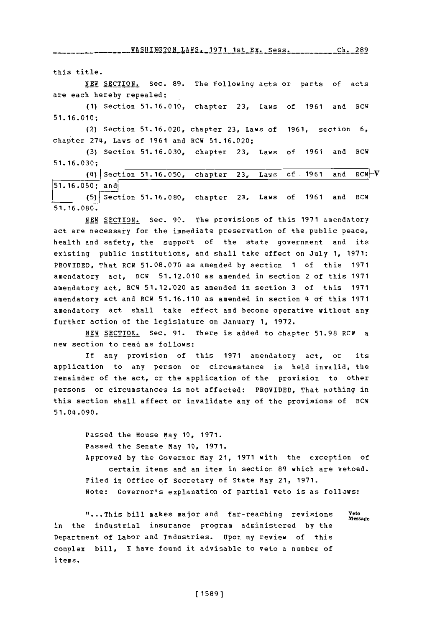WASHINGTON LAWS. **1971 1st Er. SpSS. Ch 2R9 WASHINGTON** LAWS **1971 1---f** Pye **9,-\_qA** rht 7Rq

this title.

**NEW SECTION.** Sec. 89. The following acts or parts of acts are each hereby repealed:

**(1)** Section **51.16.010,** chapter **23,** Laws of **1961** and RCW **51. 16.010;**

(2) Section **51.16.020,** chapter **23,** Laws of **1961,** section **6,** chap ter *274,* Laws of **1961** and RCW **51.16.020;**

**(3)** Section **51.16.030,** chapter **23,** Laws of **1961** and RCW **51. 16.030;**

(4) ISection **51.16.050, 51.16.050;** andl (5) ect ion **51.16.080,** chapter **23,** Laws of **1961** and RCW **51. 16.080.** chapter **23,** Laws of **-1961** and RCW[.-V

**NEW SECTION.** Sec. **90.** The provisions of this **1971** amendatory act are necessary for the immediate preservation of the public peace, health and safety, the support of the state government and its existing public institutions, and shall take effect on July **1, 1971:** PROVIDED, That RCW **51.08.070** as amended **by** section **1** of this **1971** amendatory act, RCW **51.12.010** as amended in section 2 of this **1971** amendatory act, RCW **51.12.'020** as amended in section **3** of this **1971** amendatory act and RCW **51.16.110** as amended in section 4 **of** this **1971** amendatory act shall take effect and become operative without any further action of the legislature on January **1, 1972.**

NEW **SECTION.** Sec. **91.** There is added to chapter **51.98** RCW a new section to read as follows:

**if** any provision of this **1971** amendatory act, or its application to any person or circumstance is held invalid, the remainder of the act, or the application of the provision to other persons or circumstances is not affected; PROVIDED, That nothing in this section shall affect or invalidate any of the provisions of RCW 51.04.090.

> Passed the House May **10, 1971.** Passed the Senate May **10, 1971.** Approved **by** the Governor May 21, **1971** with the exception of certain items and an item in section **89** which are vetoed. Filed in, office of Secretary of State May 21, **1971.** Note: Governor's explanation of partial veto is as follows:

"...This bill makes major and far-reaching revisions **Veto Message** in the industrial insurance program administered **by** the Department of Labor and Industries. Upon my review of this complex bill, I have found it advisable to veto a number of items.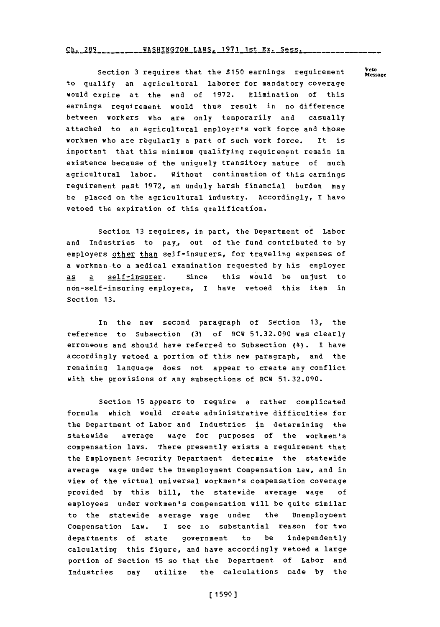Ch. **289WASHINGTON** LAWS. **1971** 1st **Ex.** Sess. **Ch. 289**

Section 3 requires that the \$150 earnings requirement Veto to qualify an agricultural laborer for mandatory coverage would expire at the end of **1972.** Elimination of this earnings requirement would thus result in no difference between workers who are only temporarily and casually attached to an agricultural employer's work force and those workmen who are regularly a part of such work force. It is important that this minimum qualifying requirement remain in existence because of the uniquely transitory nature of much agricultural labor. Without continuation of this earnings requirement past **1972,** an unduly harsh financial burden may be placed on the agricultural industry. Accordingly, **I** have vetoed the expiration of this qualification.

Section **13** requires, in part, the Department of Labor and Industries to pay., out of the fund contributed to **by** employers other than self-insurers, for traveling expenses of a workman to a medical examination requested **by** his employer as a self-insurer. Since this would be unjust to non-self-insuring employers, I have vetoed this item in Section **13.**

In the new second paragraph of Section **13,** the reference to Subsection **(3)** of RCW **51.32.090** was clearly erroneous and should have referred to Subsection **(4i). 1** have accordingly vetoed a portion of this new paragraph, and the remaining language does not appear to create any conflict with the provisions of any subsections of RCW **51.32.090.**

Section **15** appears to require a rather complicated formula which would create administrative difficulties for the Department of Labor and Industries in determining the statewide average wage for purposes of the workmen's compensation laws. There presently exists a requirement that the Employment Security Department determine the statewide average wage under the Unemployment Compensation Law, and in view of the virtual universal workmen's compensation coverage provided **by** this bill, the statewide average wage **of** employees under workmen's compensation will be quite similar to the statewide average wage under the Unemployment Compensation Law, I see no substantial reason for two departments of state government to be independently calculating this figure, and have accordingly vetoed a large portion of Section 15 so that the Department of Labor and industries nay utilize the calculations nade **by** the